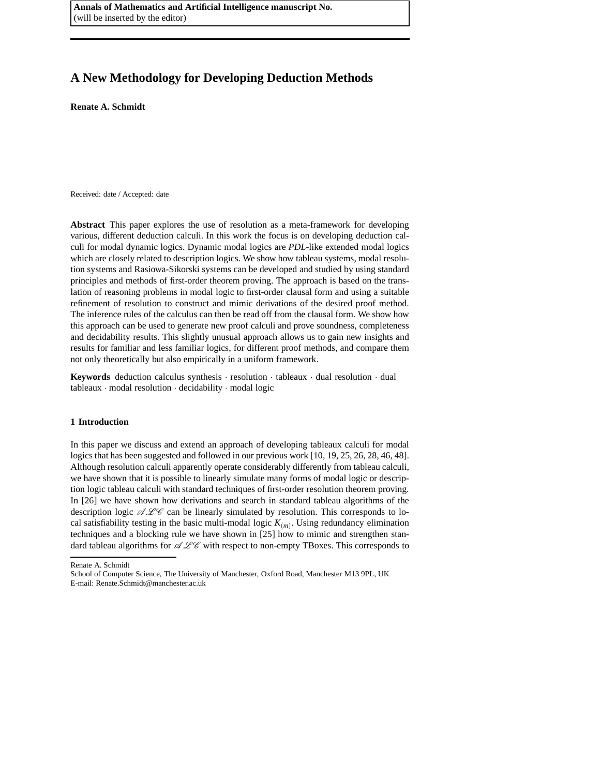**Annals of Mathematics and Artificial Intelligence manuscript No.** (will be inserted by the editor)

# **A New Methodology for Developing Deduction Methods**

**Renate A. Schmidt**

Received: date / Accepted: date

**Abstract** This paper explores the use of resolution as a meta-framework for developing various, different deduction calculi. In this work the focus is on developing deduction calculi for modal dynamic logics. Dynamic modal logics are *PDL*-like extended modal logics which are closely related to description logics. We show how tableau systems, modal resolution systems and Rasiowa-Sikorski systems can be developed and studied by using standard principles and methods of first-order theorem proving. The approach is based on the translation of reasoning problems in modal logic to first-order clausal form and using a suitable refinement of resolution to construct and mimic derivations of the desired proof method. The inference rules of the calculus can then be read off from the clausal form. We show how this approach can be used to generate new proof calculi and prove soundness, completeness and decidability results. This slightly unusual approach allows us to gain new insights and results for familiar and less familiar logics, for different proof methods, and compare them not only theoretically but also empirically in a uniform framework.

**Keywords** deduction calculus synthesis · resolution · tableaux · dual resolution · dual tableaux · modal resolution · decidability · modal logic

## **1 Introduction**

In this paper we discuss and extend an approach of developing tableaux calculi for modal logics that has been suggested and followed in our previous work [10, 19, 25, 26, 28, 46, 48]. Although resolution calculi apparently operate considerably differently from tableau calculi, we have shown that it is possible to linearly simulate many forms of modal logic or description logic tableau calculi with standard techniques of first-order resolution theorem proving. In [26] we have shown how derivations and search in standard tableau algorithms of the description logic  $\mathscr{A L C}$  can be linearly simulated by resolution. This corresponds to local satisfiability testing in the basic multi-modal logic  $K_{(m)}$ . Using redundancy elimination techniques and a blocking rule we have shown in [25] how to mimic and strengthen standard tableau algorithms for  $\mathscr{A}\mathscr{L}\mathscr{C}$  with respect to non-empty TBoxes. This corresponds to

Renate A. Schmidt

School of Computer Science, The University of Manchester, Oxford Road, Manchester M13 9PL, UK E-mail: Renate.Schmidt@manchester.ac.uk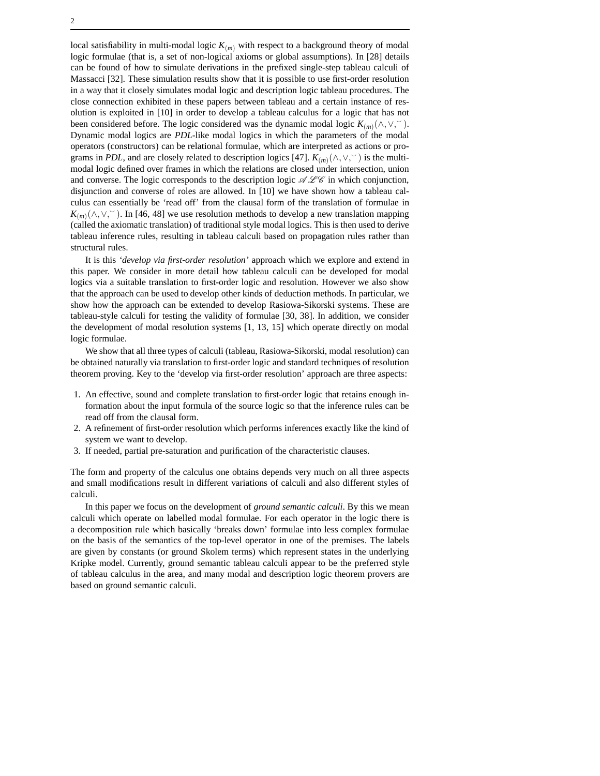local satisfiability in multi-modal logic  $K_{(m)}$  with respect to a background theory of modal logic formulae (that is, a set of non-logical axioms or global assumptions). In [28] details can be found of how to simulate derivations in the prefixed single-step tableau calculi of Massacci [32]. These simulation results show that it is possible to use first-order resolution in a way that it closely simulates modal logic and description logic tableau procedures. The close connection exhibited in these papers between tableau and a certain instance of resolution is exploited in [10] in order to develop a tableau calculus for a logic that has not been considered before. The logic considered was the dynamic modal logic  $K_{(m)}(\wedge,\vee,\vee)$ . Dynamic modal logics are *PDL*-like modal logics in which the parameters of the modal operators (constructors) can be relational formulae, which are interpreted as actions or programs in *PDL*, and are closely related to description logics [47].  $K_{(m)}(\wedge,\vee,\vee)$  is the multimodal logic defined over frames in which the relations are closed under intersection, union and converse. The logic corresponds to the description logic  $\mathscr{ALC}$  in which conjunction, disjunction and converse of roles are allowed. In [10] we have shown how a tableau calculus can essentially be 'read off' from the clausal form of the translation of formulae in  $K_{(m)}(\wedge,\vee,\vee)$ . In [46, 48] we use resolution methods to develop a new translation mapping (called the axiomatic translation) of traditional style modal logics. This is then used to derive tableau inference rules, resulting in tableau calculi based on propagation rules rather than structural rules.

It is this *'develop via first-order resolution'* approach which we explore and extend in this paper. We consider in more detail how tableau calculi can be developed for modal logics via a suitable translation to first-order logic and resolution. However we also show that the approach can be used to develop other kinds of deduction methods. In particular, we show how the approach can be extended to develop Rasiowa-Sikorski systems. These are tableau-style calculi for testing the validity of formulae [30, 38]. In addition, we consider the development of modal resolution systems [1, 13, 15] which operate directly on modal logic formulae.

We show that all three types of calculi (tableau, Rasiowa-Sikorski, modal resolution) can be obtained naturally via translation to first-order logic and standard techniques of resolution theorem proving. Key to the 'develop via first-order resolution' approach are three aspects:

- 1. An effective, sound and complete translation to first-order logic that retains enough information about the input formula of the source logic so that the inference rules can be read off from the clausal form.
- 2. A refinement of first-order resolution which performs inferences exactly like the kind of system we want to develop.
- 3. If needed, partial pre-saturation and purification of the characteristic clauses.

The form and property of the calculus one obtains depends very much on all three aspects and small modifications result in different variations of calculi and also different styles of calculi.

In this paper we focus on the development of *ground semantic calculi*. By this we mean calculi which operate on labelled modal formulae. For each operator in the logic there is a decomposition rule which basically 'breaks down' formulae into less complex formulae on the basis of the semantics of the top-level operator in one of the premises. The labels are given by constants (or ground Skolem terms) which represent states in the underlying Kripke model. Currently, ground semantic tableau calculi appear to be the preferred style of tableau calculus in the area, and many modal and description logic theorem provers are based on ground semantic calculi.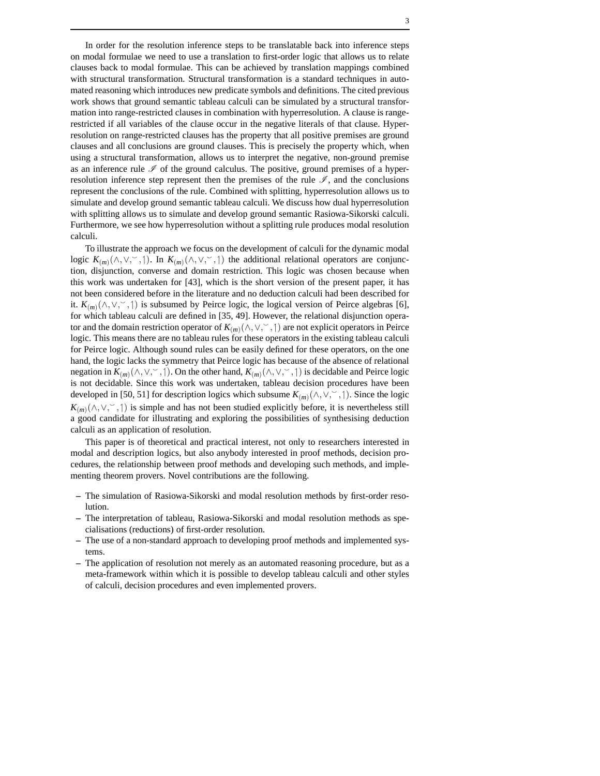In order for the resolution inference steps to be translatable back into inference steps on modal formulae we need to use a translation to first-order logic that allows us to relate clauses back to modal formulae. This can be achieved by translation mappings combined with structural transformation. Structural transformation is a standard techniques in automated reasoning which introduces new predicate symbols and definitions. The cited previous work shows that ground semantic tableau calculi can be simulated by a structural transformation into range-restricted clauses in combination with hyperresolution. A clause is rangerestricted if all variables of the clause occur in the negative literals of that clause. Hyperresolution on range-restricted clauses has the property that all positive premises are ground clauses and all conclusions are ground clauses. This is precisely the property which, when using a structural transformation, allows us to interpret the negative, non-ground premise as an inference rule  $\mathscr I$  of the ground calculus. The positive, ground premises of a hyperresolution inference step represent then the premises of the rule  $\mathscr I$ , and the conclusions represent the conclusions of the rule. Combined with splitting, hyperresolution allows us to simulate and develop ground semantic tableau calculi. We discuss how dual hyperresolution with splitting allows us to simulate and develop ground semantic Rasiowa-Sikorski calculi. Furthermore, we see how hyperresolution without a splitting rule produces modal resolution calculi.

To illustrate the approach we focus on the development of calculi for the dynamic modal logic  $K_{(m)}(\wedge,\vee,\vee,1)$ . In  $K_{(m)}(\wedge,\vee,\vee,1)$  the additional relational operators are conjunction, disjunction, converse and domain restriction. This logic was chosen because when this work was undertaken for [43], which is the short version of the present paper, it has not been considered before in the literature and no deduction calculi had been described for it.  $K_{(m)}(\wedge,\vee,\sim,1)$  is subsumed by Peirce logic, the logical version of Peirce algebras [6], for which tableau calculi are defined in [35, 49]. However, the relational disjunction operator and the domain restriction operator of  $K_{(m)}(\wedge,\vee,\breve{\phantom{\cdot}},\uparrow)$  are not explicit operators in Peirce logic. This means there are no tableau rules for these operators in the existing tableau calculi for Peirce logic. Although sound rules can be easily defined for these operators, on the one hand, the logic lacks the symmetry that Peirce logic has because of the absence of relational negation in  $K_{(m)}(\wedge,\vee,\vee,1)$ . On the other hand,  $K_{(m)}(\wedge,\vee,\vee,1)$  is decidable and Peirce logic is not decidable. Since this work was undertaken, tableau decision procedures have been developed in [50, 51] for description logics which subsume  $K_{(m)}(\wedge,\vee,\breve{\phantom{m}}\, ,\rightharpoonup)$ . Since the logic  $K_{(m)}(\wedge,\vee,\breve{\wedge},\uparrow)$  is simple and has not been studied explicitly before, it is nevertheless still a good candidate for illustrating and exploring the possibilities of synthesising deduction calculi as an application of resolution.

This paper is of theoretical and practical interest, not only to researchers interested in modal and description logics, but also anybody interested in proof methods, decision procedures, the relationship between proof methods and developing such methods, and implementing theorem provers. Novel contributions are the following.

- **–** The simulation of Rasiowa-Sikorski and modal resolution methods by first-order resolution.
- **–** The interpretation of tableau, Rasiowa-Sikorski and modal resolution methods as specialisations (reductions) of first-order resolution.
- **–** The use of a non-standard approach to developing proof methods and implemented systems.
- **–** The application of resolution not merely as an automated reasoning procedure, but as a meta-framework within which it is possible to develop tableau calculi and other styles of calculi, decision procedures and even implemented provers.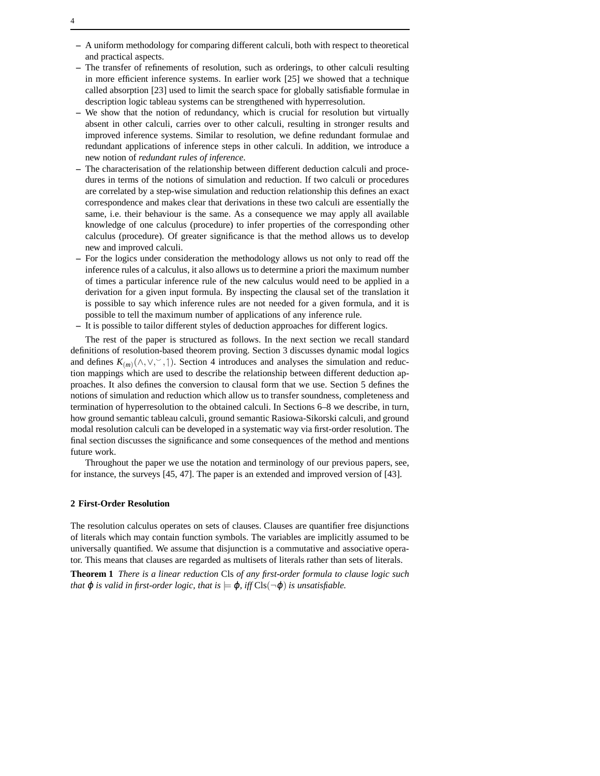- **–** A uniform methodology for comparing different calculi, both with respect to theoretical and practical aspects.
- **–** The transfer of refinements of resolution, such as orderings, to other calculi resulting in more efficient inference systems. In earlier work [25] we showed that a technique called absorption [23] used to limit the search space for globally satisfiable formulae in description logic tableau systems can be strengthened with hyperresolution.
- **–** We show that the notion of redundancy, which is crucial for resolution but virtually absent in other calculi, carries over to other calculi, resulting in stronger results and improved inference systems. Similar to resolution, we define redundant formulae and redundant applications of inference steps in other calculi. In addition, we introduce a new notion of *redundant rules of inference*.
- **–** The characterisation of the relationship between different deduction calculi and procedures in terms of the notions of simulation and reduction. If two calculi or procedures are correlated by a step-wise simulation and reduction relationship this defines an exact correspondence and makes clear that derivations in these two calculi are essentially the same, i.e. their behaviour is the same. As a consequence we may apply all available knowledge of one calculus (procedure) to infer properties of the corresponding other calculus (procedure). Of greater significance is that the method allows us to develop new and improved calculi.
- **–** For the logics under consideration the methodology allows us not only to read off the inference rules of a calculus, it also allows us to determine a priori the maximum number of times a particular inference rule of the new calculus would need to be applied in a derivation for a given input formula. By inspecting the clausal set of the translation it is possible to say which inference rules are not needed for a given formula, and it is possible to tell the maximum number of applications of any inference rule.
- **–** It is possible to tailor different styles of deduction approaches for different logics.

The rest of the paper is structured as follows. In the next section we recall standard definitions of resolution-based theorem proving. Section 3 discusses dynamic modal logics and defines  $K_{(m)}(\wedge,\vee,\check{\phantom{m}},\check{\phantom{m}})$ . Section 4 introduces and analyses the simulation and reduction mappings which are used to describe the relationship between different deduction approaches. It also defines the conversion to clausal form that we use. Section 5 defines the notions of simulation and reduction which allow us to transfer soundness, completeness and termination of hyperresolution to the obtained calculi. In Sections 6–8 we describe, in turn, how ground semantic tableau calculi, ground semantic Rasiowa-Sikorski calculi, and ground modal resolution calculi can be developed in a systematic way via first-order resolution. The final section discusses the significance and some consequences of the method and mentions future work.

Throughout the paper we use the notation and terminology of our previous papers, see, for instance, the surveys [45, 47]. The paper is an extended and improved version of [43].

### **2 First-Order Resolution**

The resolution calculus operates on sets of clauses. Clauses are quantifier free disjunctions of literals which may contain function symbols. The variables are implicitly assumed to be universally quantified. We assume that disjunction is a commutative and associative operator. This means that clauses are regarded as multisets of literals rather than sets of literals.

**Theorem 1** *There is a linear reduction* Cls *of any first-order formula to clause logic such that*  $\varphi$  *is valid in first-order logic, that is*  $\models \varphi$ *, iff* Cls( $\neg \varphi$ ) *is unsatisfiable.*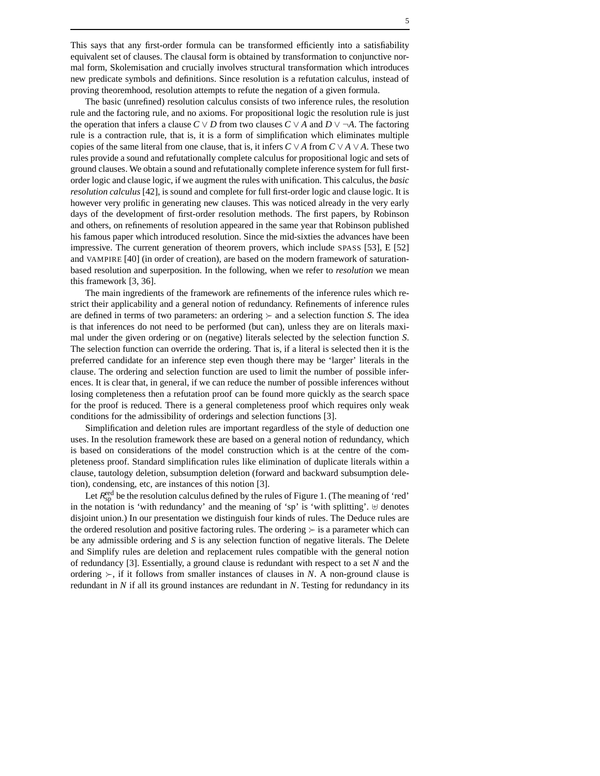This says that any first-order formula can be transformed efficiently into a satisfiability equivalent set of clauses. The clausal form is obtained by transformation to conjunctive normal form, Skolemisation and crucially involves structural transformation which introduces new predicate symbols and definitions. Since resolution is a refutation calculus, instead of proving theoremhood, resolution attempts to refute the negation of a given formula.

The basic (unrefined) resolution calculus consists of two inference rules, the resolution rule and the factoring rule, and no axioms. For propositional logic the resolution rule is just the operation that infers a clause  $C \vee D$  from two clauses  $C \vee A$  and  $D \vee \neg A$ . The factoring rule is a contraction rule, that is, it is a form of simplification which eliminates multiple copies of the same literal from one clause, that is, it infers  $C \vee A$  from  $C \vee A \vee A$ . These two rules provide a sound and refutationally complete calculus for propositional logic and sets of ground clauses. We obtain a sound and refutationally complete inference system for full firstorder logic and clause logic, if we augment the rules with unification. This calculus, the *basic resolution calculus* [42], is sound and complete for full first-order logic and clause logic. It is however very prolific in generating new clauses. This was noticed already in the very early days of the development of first-order resolution methods. The first papers, by Robinson and others, on refinements of resolution appeared in the same year that Robinson published his famous paper which introduced resolution. Since the mid-sixties the advances have been impressive. The current generation of theorem provers, which include SPASS [53], E [52] and VAMPIRE [40] (in order of creation), are based on the modern framework of saturationbased resolution and superposition. In the following, when we refer to *resolution* we mean this framework [3, 36].

The main ingredients of the framework are refinements of the inference rules which restrict their applicability and a general notion of redundancy. Refinements of inference rules are defined in terms of two parameters: an ordering ≻ and a selection function *S*. The idea is that inferences do not need to be performed (but can), unless they are on literals maximal under the given ordering or on (negative) literals selected by the selection function *S*. The selection function can override the ordering. That is, if a literal is selected then it is the preferred candidate for an inference step even though there may be 'larger' literals in the clause. The ordering and selection function are used to limit the number of possible inferences. It is clear that, in general, if we can reduce the number of possible inferences without losing completeness then a refutation proof can be found more quickly as the search space for the proof is reduced. There is a general completeness proof which requires only weak conditions for the admissibility of orderings and selection functions [3].

Simplification and deletion rules are important regardless of the style of deduction one uses. In the resolution framework these are based on a general notion of redundancy, which is based on considerations of the model construction which is at the centre of the completeness proof. Standard simplification rules like elimination of duplicate literals within a clause, tautology deletion, subsumption deletion (forward and backward subsumption deletion), condensing, etc, are instances of this notion [3].

Let  $R_{\rm sp}^{\rm red}$  be the resolution calculus defined by the rules of Figure 1. (The meaning of 'red' in the notation is 'with redundancy' and the meaning of 'sp' is 'with splitting'. ⊎ denotes disjoint union.) In our presentation we distinguish four kinds of rules. The Deduce rules are the ordered resolution and positive factoring rules. The ordering ≻ is a parameter which can be any admissible ordering and *S* is any selection function of negative literals. The Delete and Simplify rules are deletion and replacement rules compatible with the general notion of redundancy [3]. Essentially, a ground clause is redundant with respect to a set *N* and the ordering  $\succ$ , if it follows from smaller instances of clauses in *N*. A non-ground clause is redundant in *N* if all its ground instances are redundant in *N*. Testing for redundancy in its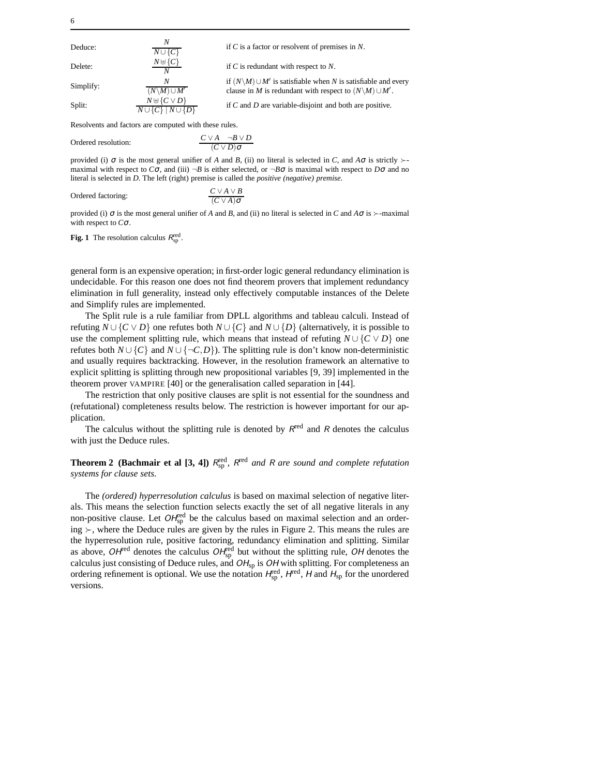| Deduce:   | N<br>$N \cup \{C\}$                                          | if C is a factor or resolvent of premises in $N$ .                                                                                              |
|-----------|--------------------------------------------------------------|-------------------------------------------------------------------------------------------------------------------------------------------------|
| Delete:   | $N \uplus \{C\}$                                             | if $C$ is redundant with respect to $N$ .                                                                                                       |
| Simplify: | N<br>$(N\backslash M)\cup M'$                                | if $(N\setminus M)\cup M'$ is satisfiable when N is satisfiable and every<br>clause in M is redundant with respect to $(N\setminus M)\cup M'$ . |
| Split:    | $N \uplus \{ C \vee D \}$<br>$N \cup \{C\}$   $N \cup \{D\}$ | if $C$ and $D$ are variable-disjoint and both are positive.                                                                                     |

Resolvents and factors are computed with these rules.

Ordered resolution:  $\frac{C \vee A \quad \neg B \vee D}{\sqrt{C \cdot P}}$ (*C* ∨ *D*)<sup>σ</sup>

provided (i) σ is the most general unifier of *A* and *B*, (ii) no literal is selected in *C*, and *A*σ is strictly  $\succ$ maximal with respect to  $C\sigma$ , and (iii)  $\neg B$  is either selected, or  $\neg B\sigma$  is maximal with respect to  $D\sigma$  and no literal is selected in *D*. The left (right) premise is called the *positive (negative) premise*.

Ordered factoring: *<sup>C</sup>* <sup>∨</sup> *<sup>A</sup>* <sup>∨</sup> *<sup>B</sup>* (*C* ∨ *A*)<sup>σ</sup>

provided (i)  $\sigma$  is the most general unifier of *A* and *B*, and (ii) no literal is selected in *C* and  $A\sigma$  is ≻-maximal with respect to *C*σ.

**Fig. 1** The resolution calculus  $R_{\text{sp}}^{\text{red}}$ .

general form is an expensive operation; in first-order logic general redundancy elimination is undecidable. For this reason one does not find theorem provers that implement redundancy elimination in full generality, instead only effectively computable instances of the Delete and Simplify rules are implemented.

The Split rule is a rule familiar from DPLL algorithms and tableau calculi. Instead of refuting  $N \cup \{C \vee D\}$  one refutes both  $N \cup \{C\}$  and  $N \cup \{D\}$  (alternatively, it is possible to use the complement splitting rule, which means that instead of refuting  $N \cup \{C \vee D\}$  one refutes both *N* ∪ {*C*} and *N* ∪ {¬*C*, *D*}). The splitting rule is don't know non-deterministic and usually requires backtracking. However, in the resolution framework an alternative to explicit splitting is splitting through new propositional variables [9, 39] implemented in the theorem prover VAMPIRE [40] or the generalisation called separation in [44].

The restriction that only positive clauses are split is not essential for the soundness and (refutational) completeness results below. The restriction is however important for our application.

The calculus without the splitting rule is denoted by  $R^{red}$  and R denotes the calculus with just the Deduce rules.

**Theorem 2** (**Bachmair et al [3, 4]**)  $R_{\text{sp}}^{\text{red}}$ ,  $R^{\text{red}}$  and R are sound and complete refutation *systems for clause sets.*

The *(ordered) hyperresolution calculus* is based on maximal selection of negative literals. This means the selection function selects exactly the set of all negative literals in any non-positive clause. Let  $OH_{\text{sp}}^{\text{red}}$  be the calculus based on maximal selection and an ordering ≻, where the Deduce rules are given by the rules in Figure 2. This means the rules are the hyperresolution rule, positive factoring, redundancy elimination and splitting. Similar as above, OH<sup>red</sup> denotes the calculus OH<sub>sp</sub> but without the splitting rule, OH denotes the calculus just consisting of Deduce rules, and  $OH_{sp}$  is OH with splitting. For completeness an ordering refinement is optional. We use the notation  $H_{\text{sp}}^{\text{red}}$ ,  $H^{\text{red}}$ , H and  $H_{\text{sp}}$  for the unordered versions.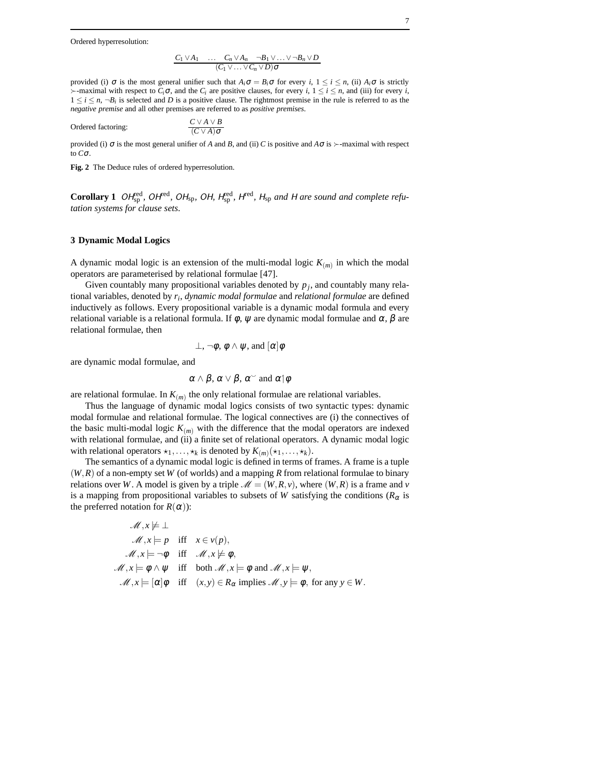Ordered hyperresolution:

$$
\frac{C_1 \vee A_1 \quad \dots \quad C_n \vee A_n \quad \neg B_1 \vee \dots \vee \neg B_n \vee D}{(C_1 \vee \dots \vee C_n \vee D) \sigma}
$$

provided (i) σ is the most general unifier such that  $A_i \sigma = B_i \sigma$  for every *i*,  $1 \le i \le n$ , (ii)  $A_i \sigma$  is strictly  $\ge$  −maximal with respect to *C*<sub>*i*</sub> $\sigma$ , and the *C*<sub>*i*</sub> are positive clauses, for every *i*,  $1 \le i \le n$ , and (iii) for every *i*,  $1 \le i \le n$ ,  $\neg B_i$  is selected and *D* is a positive clause. The rightmost premise in the rule is referred to as the *negative premise* and all other premises are referred to as *positive premises*.

Ordered factoring:

\n
$$
\frac{C \vee A \vee B}{(C \vee A) \sigma}
$$

provided (i)  $\sigma$  is the most general unifier of *A* and *B*, and (ii) *C* is positive and  $A\sigma$  is ≻-maximal with respect to *C*σ.

**Fig. 2** The Deduce rules of ordered hyperresolution.

**Corollary 1** OH<sup>red</sup>, OH<sub>sp</sub>, OH, H<sub>sp</sub>, H<sup>ed</sup>, H<sub>sp</sub> and H are sound and complete refu*tation systems for clause sets.*

### **3 Dynamic Modal Logics**

A dynamic modal logic is an extension of the multi-modal logic *K*(*m*) in which the modal operators are parameterised by relational formulae [47].

Given countably many propositional variables denoted by  $p_j$ , and countably many relational variables, denoted by *r<sup>i</sup>* , *dynamic modal formulae* and *relational formulae* are defined inductively as follows. Every propositional variable is a dynamic modal formula and every relational variable is a relational formula. If  $\phi$ ,  $\psi$  are dynamic modal formulae and  $\alpha$ ,  $\beta$  are relational formulae, then

$$
\bot
$$
,  $\neg \phi$ ,  $\phi \land \psi$ , and  $[\alpha]\phi$ 

are dynamic modal formulae, and

$$
\alpha \wedge \beta
$$
,  $\alpha \vee \beta$ ,  $\alpha^{\smallsmile}$  and  $\alpha \uparrow \phi$ 

are relational formulae. In  $K_{(m)}$  the only relational formulae are relational variables.

Thus the language of dynamic modal logics consists of two syntactic types: dynamic modal formulae and relational formulae. The logical connectives are (i) the connectives of the basic multi-modal logic  $K(m)$  with the difference that the modal operators are indexed with relational formulae, and (ii) a finite set of relational operators. A dynamic modal logic with relational operators  $\star_1, \ldots, \star_k$  is denoted by  $K_{(m)}(\star_1, \ldots, \star_k)$ .

The semantics of a dynamic modal logic is defined in terms of frames. A frame is a tuple  $(W, R)$  of a non-empty set *W* (of worlds) and a mapping *R* from relational formulae to binary relations over *W*. A model is given by a triple  $\mathcal{M} = (W, R, v)$ , where  $(W, R)$  is a frame and *v* is a mapping from propositional variables to subsets of *W* satisfying the conditions ( $R_{\alpha}$  is the preferred notation for  $R(\alpha)$ :

$$
\mathcal{M}, x \models \bot
$$
  
\n
$$
\mathcal{M}, x \models p \text{ iff } x \in v(p),
$$
  
\n
$$
\mathcal{M}, x \models \neg \phi \text{ iff } \mathcal{M}, x \not\models \phi,
$$
  
\n
$$
\mathcal{M}, x \models \phi \land \psi \text{ iff both } \mathcal{M}, x \models \phi \text{ and } \mathcal{M}, x \models \psi,
$$
  
\n
$$
\mathcal{M}, x \models [\alpha] \phi \text{ iff } (x, y) \in R_{\alpha} \text{ implies } \mathcal{M}, y \models \phi, \text{ for any } y \in W.
$$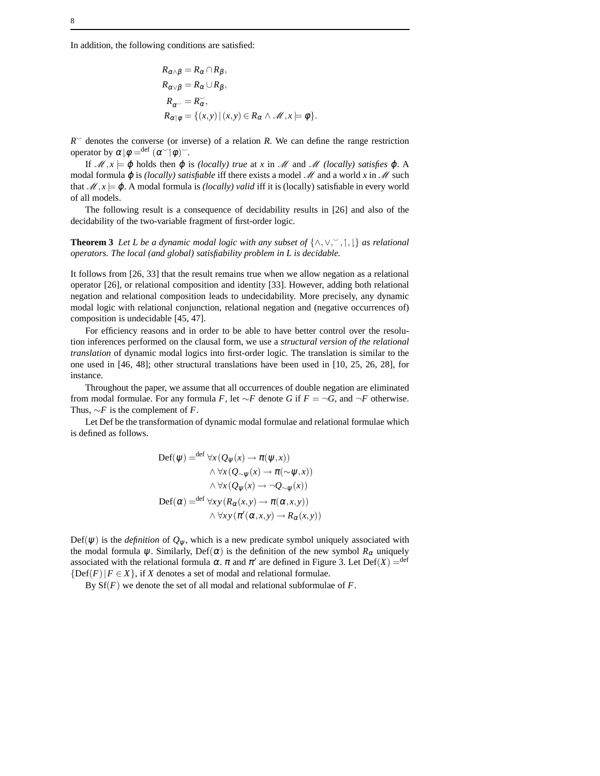In addition, the following conditions are satisfied:

$$
R_{\alpha \wedge \beta} = R_{\alpha} \cap R_{\beta},
$$
  
\n
$$
R_{\alpha \vee \beta} = R_{\alpha} \cup R_{\beta},
$$
  
\n
$$
R_{\alpha^{\vee}} = R_{\alpha}^{\vee},
$$
  
\n
$$
R_{\alpha \uparrow \phi} = \{(x, y) | (x, y) \in R_{\alpha} \wedge \mathcal{M}, x \models \phi\}.
$$

 $R$ <sup> $\sim$ </sup> denotes the converse (or inverse) of a relation *R*. We can define the range restriction operator by  $\alpha | \phi =^{\text{def}} (\alpha^{\vee} | \phi)^{\vee}$ .

If  $\mathcal{M}, x \models \varphi$  holds then  $\varphi$  is *(locally) true* at *x* in  $\mathcal{M}$  and  $\mathcal{M}$  *(locally) satisfies*  $\varphi$ . A modal formula  $\varphi$  is *(locally)* satisfiable iff there exists a model  $\mathcal M$  and a world x in  $\mathcal M$  such that  $\mathcal{M}, x \models \varphi$ . A modal formula is *(locally) valid* iff it is *(locally)* satisfiable in every world of all models.

The following result is a consequence of decidability results in [26] and also of the decidability of the two-variable fragment of first-order logic.

**Theorem 3** *Let L be a dynamic modal logic with any subset of* {∧,∨, ` , ↿, ⇂} *as relational operators. The local (and global) satisfiability problem in L is decidable.*

It follows from [26, 33] that the result remains true when we allow negation as a relational operator [26], or relational composition and identity [33]. However, adding both relational negation and relational composition leads to undecidability. More precisely, any dynamic modal logic with relational conjunction, relational negation and (negative occurrences of) composition is undecidable [45, 47].

For efficiency reasons and in order to be able to have better control over the resolution inferences performed on the clausal form, we use a *structural version of the relational translation* of dynamic modal logics into first-order logic. The translation is similar to the one used in [46, 48]; other structural translations have been used in [10, 25, 26, 28], for instance.

Throughout the paper, we assume that all occurrences of double negation are eliminated from modal formulae. For any formula *F*, let  $\sim$ *F* denote *G* if *F* = ¬*G*, and ¬*F* otherwise. Thus, ∼*F* is the complement of *F*.

Let Def be the transformation of dynamic modal formulae and relational formulae which is defined as follows.

$$
\begin{aligned}\n\text{Def}(\psi) &=^{\text{def}} \forall x \left( Q_{\psi}(x) \to \pi(\psi, x) \right) \\
&\wedge \forall x \left( Q_{\sim \psi}(x) \to \pi(\sim \psi, x) \right) \\
&\wedge \forall x \left( Q_{\psi}(x) \to \neg Q_{\sim \psi}(x) \right) \\
\text{Def}(\alpha) &=^{\text{def}} \forall x y \left( R_{\alpha}(x, y) \to \pi(\alpha, x, y) \right) \\
&\wedge \forall x y \left( \pi'(\alpha, x, y) \to R_{\alpha}(x, y) \right)\n\end{aligned}
$$

 $Def(\psi)$  is the *definition* of  $Q_{\psi}$ , which is a new predicate symbol uniquely associated with the modal formula  $\psi$ . Similarly, Def( $\alpha$ ) is the definition of the new symbol  $R_{\alpha}$  uniquely associated with the relational formula  $\alpha$ .  $\pi$  and  $\pi'$  are defined in Figure 3. Let Def(*X*) = <sup>def</sup>  ${Def(F)|F \in X}$ , if *X* denotes a set of modal and relational formulae.

By  $Sf(F)$  we denote the set of all modal and relational subformulae of  $F$ .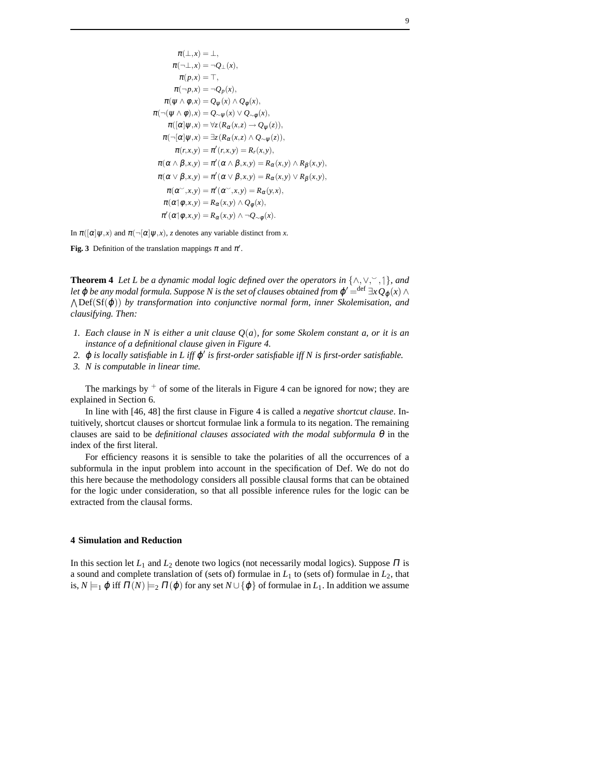$$
\pi(\bot, x) = \bot,
$$
\n
$$
\pi(\neg \bot, x) = \neg Q_{\bot}(x),
$$
\n
$$
\pi(p, x) = \top,
$$
\n
$$
\pi(\neg p, x) = \neg Q_{p}(x),
$$
\n
$$
\pi(\psi \land \phi, x) = Q_{\psi}(x) \land Q_{\phi}(x),
$$
\n
$$
\pi(\neg (\psi \land \phi), x) = Q_{\neg \psi}(x) \lor Q_{\neg \phi}(x),
$$
\n
$$
\pi(\neg (\psi \land \phi), x) = \forall z (R_{\alpha}(x, z) \rightarrow Q_{\psi}(z)),
$$
\n
$$
\pi(\neg \alpha | \psi, x) = \exists z (R_{\alpha}(x, z) \land Q_{\neg \psi}(z)),
$$
\n
$$
\pi(r, x, y) = \pi'(r, x, y) = R_{r}(x, y),
$$
\n
$$
\pi(\alpha \land \beta, x, y) = \pi'(\alpha \land \beta, x, y) = R_{\alpha}(x, y) \land R_{\beta}(x, y),
$$
\n
$$
\pi(\alpha \lor \beta, x, y) = \pi'(\alpha \lor \beta, x, y) = R_{\alpha}(x, y) \lor R_{\beta}(x, y),
$$
\n
$$
\pi(\alpha \lor \gamma, x, y) = \pi'(\alpha \lor \gamma, x, y) = R_{\alpha}(y, x),
$$
\n
$$
\pi(\alpha | \phi, x, y) = R_{\alpha}(x, y) \land Q_{\phi}(x),
$$
\n
$$
\pi'(\alpha | \phi, x, y) = R_{\alpha}(x, y) \land Q_{\phi}(x).
$$

In  $\pi([\alpha]\psi, x)$  and  $\pi(\neg[\alpha]\psi, x)$ , *z* denotes any variable distinct from *x*.

**Fig. 3** Definition of the translation mappings  $\pi$  and  $\pi'$ .

**Theorem 4** *Let L be a dynamic modal logic defined over the operators in* {∧,∨,  $\checkmark$ , {}*, and* let  $\phi$  *be any modal formula. Suppose N is the set of clauses obtained from*  $\phi' = ^{\mathsf{def}} \exists x Q_\phi(x) \land$ V Def(Sf(ϕ)) *by transformation into conjunctive normal form, inner Skolemisation, and clausifying. Then:*

- *1. Each clause in N is either a unit clause Q*(*a*)*, for some Skolem constant a, or it is an instance of a definitional clause given in Figure 4.*
- 2.  $\varphi$  *is locally satisfiable in L iff*  $\varphi'$  *is first-order satisfiable iff N is first-order satisfiable.*
- *3. N is computable in linear time.*

The markings by  $+$  of some of the literals in Figure 4 can be ignored for now; they are explained in Section 6.

In line with [46, 48] the first clause in Figure 4 is called a *negative shortcut clause*. Intuitively, shortcut clauses or shortcut formulae link a formula to its negation. The remaining clauses are said to be *definitional clauses associated with the modal subformula* θ in the index of the first literal.

For efficiency reasons it is sensible to take the polarities of all the occurrences of a subformula in the input problem into account in the specification of Def. We do not do this here because the methodology considers all possible clausal forms that can be obtained for the logic under consideration, so that all possible inference rules for the logic can be extracted from the clausal forms.

# **4 Simulation and Reduction**

In this section let  $L_1$  and  $L_2$  denote two logics (not necessarily modal logics). Suppose  $\Pi$  is a sound and complete translation of (sets of) formulae in  $L_1$  to (sets of) formulae in  $L_2$ , that is,  $N \models_1 \varphi$  iff  $\Pi(N) \models_2 \Pi(\varphi)$  for any set  $N \cup \{\varphi\}$  of formulae in  $L_1$ . In addition we assume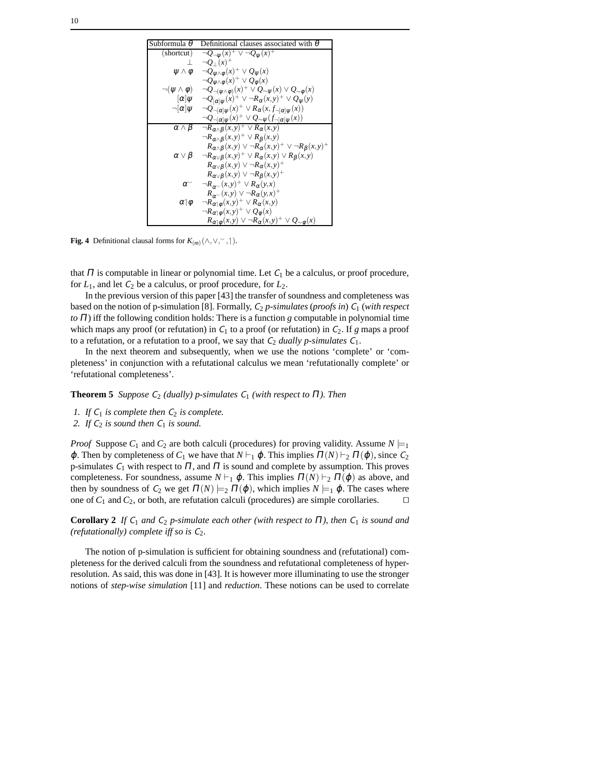

10

| Subformula $\theta$      | Definitional clauses associated with $\theta$                                          |
|--------------------------|----------------------------------------------------------------------------------------|
| (shortcut)               | $\neg Q_{\neg \psi}(x)^\perp \vee \neg Q_{\psi}(x)^\perp$                              |
|                          | $\neg Q_{\perp}(x)^{+}$                                                                |
| $\psi \wedge \phi$       | $\neg Q_{\psi \wedge \phi}(x)^+ \vee Q_{\psi}(x)$                                      |
|                          | $\neg Q_{\psi \wedge \phi}(x)^+ \vee Q_{\phi}(x)$                                      |
| $\neg(\psi \wedge \phi)$ | $\neg Q_{\neg(\psi \wedge \phi)}(x)^+ \vee Q_{\sim \psi}(x) \vee Q_{\sim \phi}(x)$     |
| $[\alpha]\psi$           | $\neg Q_{\lbrack\alpha\rbrack\psi}(x)^{+}\vee\neg R_{\alpha}(x,y)^{+}\vee Q_{\psi}(y)$ |
| $\neg[\alpha]\psi$       | $\neg Q_{\neg[\alpha]\psi}(x)^+ \vee R_{\alpha}(x, f_{\neg[\alpha]\psi}(x))$           |
|                          | $\neg Q_{\neg[\alpha]\psi}(x)^{+} \vee Q_{\sim\Psi}(f_{\neg[\alpha]\psi}(x))$          |
| $\alpha \wedge \beta$    | $\neg R_{\alpha\wedge\beta}(x,y)^+ \vee R_{\alpha}(x,y)$                               |
|                          | $\neg R_{\alpha\land\beta}(x,y)^+ \lor R_{\beta}(x,y)$                                 |
|                          | $R_{\alpha\land\beta}(x,y) \lor \neg R_{\alpha}(x,y)^{+} \lor \neg R_{\beta}(x,y)^{+}$ |
| $\alpha \vee \beta$      | $\neg R_{\alpha\vee\beta}(x,y)^+ \vee R_{\alpha}(x,y) \vee R_{\beta}(x,y)$             |
|                          | $R_{\alpha\vee\beta}(x,y) \vee \neg R_{\alpha}(x,y)^+$                                 |
|                          | $R_{\alpha\vee\beta}(x,y) \vee \neg R_{\beta}(x,y)^+$                                  |
| $\alpha$                 | $\neg R_{\alpha} (x, y)^+ \vee R_{\alpha} (y, x)$                                      |
|                          | $R_{\alpha}$ $(x, y)$ $\vee$ $\neg R_{\alpha} (y, x)^{+}$                              |
| $\alpha$   $\phi$        | $\neg R_{\alpha\beta}(x,y)^+ \vee R_{\alpha}(x,y)$                                     |
|                          | $\neg R_{\alpha\beta}(x,y)^+ \vee Q_{\phi}(x)$                                         |
|                          | $R_{\alpha \phi}(x, y) \vee \neg R_{\alpha}(x, y)^+ \vee Q_{\sim \phi}(x)$             |

**Fig. 4** Definitional clausal forms for  $K_{(m)}(\wedge,\vee,\vee,1)$ .

that  $\Pi$  is computable in linear or polynomial time. Let  $C_1$  be a calculus, or proof procedure, for  $L_1$ , and let  $C_2$  be a calculus, or proof procedure, for  $L_2$ .

In the previous version of this paper [43] the transfer of soundness and completeness was based on the notion of p-simulation [8]. Formally,  $C_2$  *p-simulates* (*proofs in*)  $C_1$  (*with respect to* <sup>Π</sup>) iff the following condition holds: There is a function *g* computable in polynomial time which maps any proof (or refutation) in  $C_1$  to a proof (or refutation) in  $C_2$ . If g maps a proof to a refutation, or a refutation to a proof, we say that  $C_2$  *dually p-simulates*  $C_1$ .

In the next theorem and subsequently, when we use the notions 'complete' or 'completeness' in conjunction with a refutational calculus we mean 'refutationally complete' or 'refutational completeness'.

**Theorem 5** *Suppose*  $C_2$  *(dually) p-simulates*  $C_1$  *(with respect to*  $\Pi$ *). Then* 

- *1. If*  $C_1$  *is complete then*  $C_2$  *is complete.*
- 2. If  $C_2$  *is sound then*  $C_1$  *is sound.*

*Proof* Suppose  $C_1$  and  $C_2$  are both calculi (procedures) for proving validity. Assume  $N \models_1$  $\varphi$ . Then by completeness of *C*<sub>1</sub> we have that  $N \vdash_1 \varphi$ . This implies  $\Pi(N) \vdash_2 \Pi(\varphi)$ , since *C*<sub>2</sub> p-simulates  $C_1$  with respect to  $\Pi$ , and  $\Pi$  is sound and complete by assumption. This proves completeness. For soundness, assume  $N \vdash_1 \varphi$ . This implies  $\Pi(N) \vdash_2 \Pi(\varphi)$  as above, and then by soundness of  $C_2$  we get  $\Pi(N) \models_2 \Pi(\varphi)$ , which implies  $N \models_1 \varphi$ . The cases where one of *C*<sub>1</sub> and *C*<sub>2</sub>, or both, are refutation calculi (procedures) are simple corollaries. □

**Corollary 2** *If*  $C_1$  *and*  $C_2$  *p*-simulate each other (with respect to  $\Pi$ ), then  $C_1$  is sound and *(refutationally) complete iff so is*  $C_2$ *.* 

The notion of p-simulation is sufficient for obtaining soundness and (refutational) completeness for the derived calculi from the soundness and refutational completeness of hyperresolution. As said, this was done in [43]. It is however more illuminating to use the stronger notions of *step-wise simulation* [11] and *reduction*. These notions can be used to correlate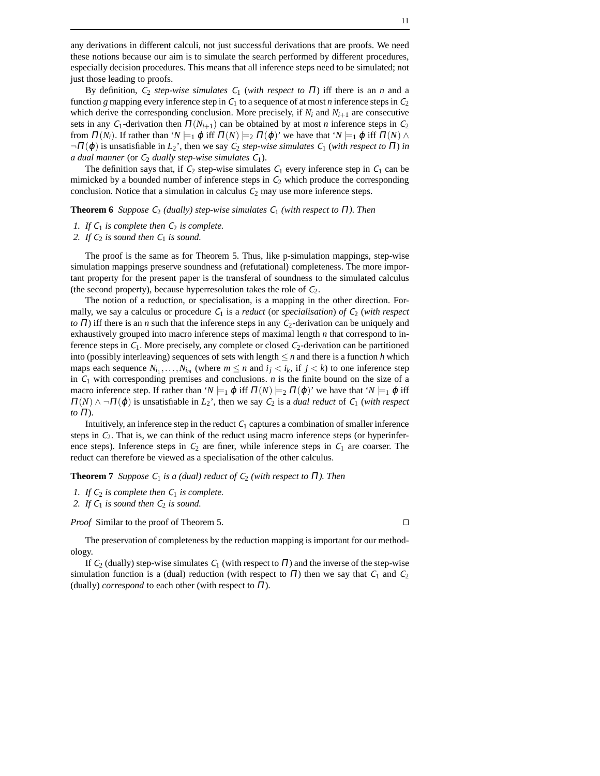any derivations in different calculi, not just successful derivations that are proofs. We need these notions because our aim is to simulate the search performed by different procedures, especially decision procedures. This means that all inference steps need to be simulated; not just those leading to proofs.

By definition,  $C_2$  *step-wise simulates*  $C_1$  (*with respect to*  $\Pi$ ) iff there is an *n* and a function *g* mapping every inference step in  $C_1$  to a sequence of at most *n* inference steps in  $C_2$ which derive the corresponding conclusion. More precisely, if  $N_i$  and  $N_{i+1}$  are consecutive sets in any  $C_1$ -derivation then  $\Pi(N_{i+1})$  can be obtained by at most *n* inference steps in  $C_2$ from  $\Pi(N_i)$ . If rather than ' $N \models_1 \varphi$  iff  $\Pi(N) \models_2 \Pi(\varphi)$ ' we have that ' $N \models_1 \varphi$  iff  $\Pi(N) \land \varphi$  $\neg \Pi(\varphi)$  is unsatisfiable in  $L_2$ ', then we say  $C_2$  *step-wise simulates*  $C_1$  (*with respect to*  $\Pi$ ) *in a dual manner* (or  $C_2$  *dually step-wise simulates*  $C_1$ *).* 

The definition says that, if  $C_2$  step-wise simulates  $C_1$  every inference step in  $C_1$  can be mimicked by a bounded number of inference steps in  $C_2$  which produce the corresponding conclusion. Notice that a simulation in calculus  $C_2$  may use more inference steps.

**Theorem 6** *Suppose*  $C_2$  *(dually) step-wise simulates*  $C_1$  *(with respect to*  $\Pi$ *). Then* 

- *1. If*  $C_1$  *is complete then*  $C_2$  *is complete.*
- 2. If  $C_2$  *is sound then*  $C_1$  *is sound.*

The proof is the same as for Theorem 5. Thus, like p-simulation mappings, step-wise simulation mappings preserve soundness and (refutational) completeness. The more important property for the present paper is the transferal of soundness to the simulated calculus (the second property), because hyperresolution takes the role of  $C_2$ .

The notion of a reduction, or specialisation, is a mapping in the other direction. Formally, we say a calculus or procedure  $C_1$  is a *reduct* (or *specialisation*) *of*  $C_2$  (*with respect*  $to \Pi$ ) iff there is an *n* such that the inference steps in any  $C_2$ -derivation can be uniquely and exhaustively grouped into macro inference steps of maximal length *n* that correspond to inference steps in  $C_1$ . More precisely, any complete or closed  $C_2$ -derivation can be partitioned into (possibly interleaving) sequences of sets with length  $\leq n$  and there is a function *h* which maps each sequence  $N_{i_1}, \ldots, N_{i_m}$  (where  $m \leq n$  and  $i_j < i_k$ , if  $j < k$ ) to one inference step in  $C_1$  with corresponding premises and conclusions. *n* is the finite bound on the size of a macro inference step. If rather than ' $N \models_1 \varphi$  iff  $\Pi(N) \models_2 \Pi(\varphi)$ ' we have that ' $N \models_1 \varphi$  iff  $\Pi(N) \wedge \neg \Pi(\varphi)$  is unsatisfiable in  $L_2$ <sup>'</sup>, then we say  $C_2$  is a *dual reduct* of  $C_1$  (*with respect*  $to$   $\Pi$ ).

Intuitively, an inference step in the reduct  $C_1$  captures a combination of smaller inference steps in  $C_2$ . That is, we can think of the reduct using macro inference steps (or hyperinference steps). Inference steps in  $C_2$  are finer, while inference steps in  $C_1$  are coarser. The reduct can therefore be viewed as a specialisation of the other calculus.

**Theorem 7** *Suppose*  $C_1$  *is a (dual) reduct of*  $C_2$  *(with respect to*  $\Pi$ *). Then* 

- *1. If*  $C_2$  *is complete then*  $C_1$  *is complete.*
- *2. If*  $C_1$  *is sound then*  $C_2$  *is sound.*

*Proof* Similar to the proof of Theorem 5. □

The preservation of completeness by the reduction mapping is important for our methodology.

If  $C_2$  (dually) step-wise simulates  $C_1$  (with respect to  $\Pi$ ) and the inverse of the step-wise simulation function is a (dual) reduction (with respect to  $\Pi$ ) then we say that  $C_1$  and  $C_2$ (dually) *correspond* to each other (with respect to  $\Pi$ ).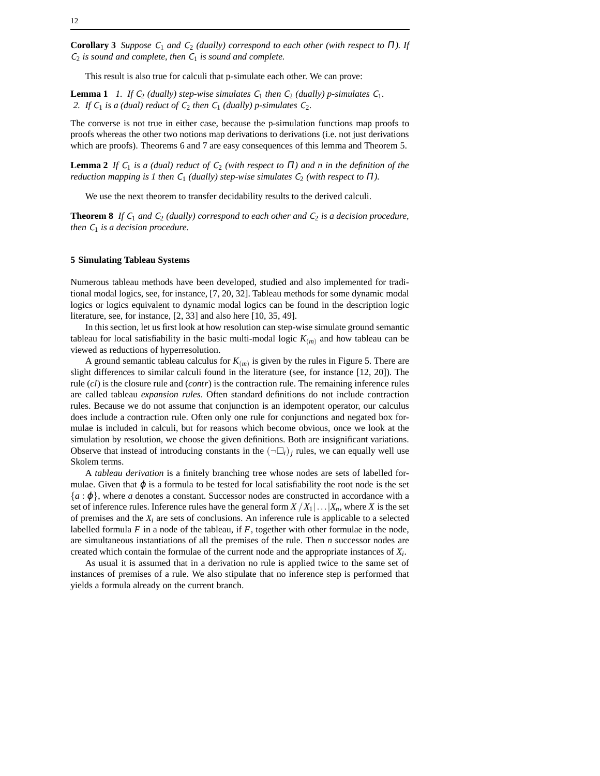**Corollary 3** *Suppose*  $C_1$  *and*  $C_2$  *(dually) correspond to each other (with respect to*  $\Pi$ *). If*  $C_2$  *is sound and complete, then*  $C_1$  *is sound and complete.* 

This result is also true for calculi that p-simulate each other. We can prove:

**Lemma 1** *1. If*  $C_2$  *(dually) step-wise simulates*  $C_1$  *then*  $C_2$  *(dually) p-simulates*  $C_1$ *. 2. If*  $C_1$  *is a (dual) reduct of*  $C_2$  *then*  $C_1$  *(dually) p-simulates*  $C_2$ *.* 

The converse is not true in either case, because the p-simulation functions map proofs to proofs whereas the other two notions map derivations to derivations (i.e. not just derivations which are proofs). Theorems 6 and 7 are easy consequences of this lemma and Theorem 5.

**Lemma 2** *If*  $C_1$  *is a (dual) reduct of*  $C_2$  *(with respect to*  $\Pi$ *) and n in the definition of the reduction mapping is 1 then*  $C_1$  *(dually) step-wise simulates*  $C_2$  *(with respect to*  $\Pi$ *).* 

We use the next theorem to transfer decidability results to the derived calculi.

**Theorem 8** If  $C_1$  and  $C_2$  (dually) correspond to each other and  $C_2$  is a decision procedure, *then*  $C_1$  *is a decision procedure.* 

## **5 Simulating Tableau Systems**

Numerous tableau methods have been developed, studied and also implemented for traditional modal logics, see, for instance, [7, 20, 32]. Tableau methods for some dynamic modal logics or logics equivalent to dynamic modal logics can be found in the description logic literature, see, for instance, [2, 33] and also here [10, 35, 49].

In this section, let us first look at how resolution can step-wise simulate ground semantic tableau for local satisfiability in the basic multi-modal logic  $K_{(m)}$  and how tableau can be viewed as reductions of hyperresolution.

A ground semantic tableau calculus for *K*(*m*) is given by the rules in Figure 5. There are slight differences to similar calculi found in the literature (see, for instance [12, 20]). The rule (*cl*) is the closure rule and (*contr*) is the contraction rule. The remaining inference rules are called tableau *expansion rules*. Often standard definitions do not include contraction rules. Because we do not assume that conjunction is an idempotent operator, our calculus does include a contraction rule. Often only one rule for conjunctions and negated box formulae is included in calculi, but for reasons which become obvious, once we look at the simulation by resolution, we choose the given definitions. Both are insignificant variations. Observe that instead of introducing constants in the  $(\neg \Box_i)_i$  rules, we can equally well use Skolem terms.

A *tableau derivation* is a finitely branching tree whose nodes are sets of labelled formulae. Given that  $\varphi$  is a formula to be tested for local satisfiability the root node is the set {*a* : ϕ}, where *a* denotes a constant. Successor nodes are constructed in accordance with a set of inference rules. Inference rules have the general form  $X/X_1|\ldots|X_n$ , where *X* is the set of premises and the  $X_i$  are sets of conclusions. An inference rule is applicable to a selected labelled formula *F* in a node of the tableau, if *F*, together with other formulae in the node, are simultaneous instantiations of all the premises of the rule. Then *n* successor nodes are created which contain the formulae of the current node and the appropriate instances of *X<sup>i</sup>* .

As usual it is assumed that in a derivation no rule is applied twice to the same set of instances of premises of a rule. We also stipulate that no inference step is performed that yields a formula already on the current branch.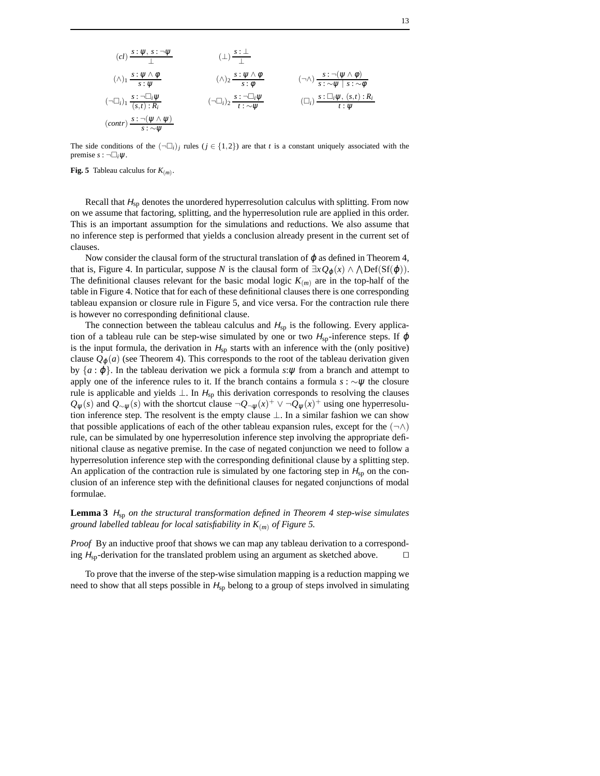$$
(c1) \frac{s:\psi, s:\neg\psi}{\bot} \qquad (\bot) \frac{s:\bot}{\bot}
$$
\n
$$
(\wedge)_{1} \frac{s:\psi \wedge \phi}{s:\psi} \qquad (\wedge)_{2} \frac{s:\psi \wedge \phi}{s:\phi} \qquad (\neg\wedge) \frac{s:\neg(\psi \wedge \phi)}{s:\neg\psi \mid s:\neg\phi}
$$
\n
$$
(\neg\Box_{i})_{1} \frac{s:\neg\Box_{i}\psi}{(s,t):\mathcal{R}_{i}} \qquad (\neg\Box_{i})_{2} \frac{s:\neg\Box_{i}\psi}{t:\neg\psi} \qquad (\Box_{i}) \frac{s:\Box_{i}\psi, (s,t):\mathcal{R}_{i}}{t:\psi}
$$
\n
$$
(contr) \frac{s:\neg(\psi \wedge \psi)}{s:\neg\psi}
$$

The side conditions of the  $(\neg \Box_i)_j$  rules ( $j \in \{1,2\}$ ) are that *t* is a constant uniquely associated with the premise  $s : \neg \Box_i \psi$ .

**Fig. 5** Tableau calculus for  $K_{(m)}$ .

Recall that  $H_{sp}$  denotes the unordered hyperresolution calculus with splitting. From now on we assume that factoring, splitting, and the hyperresolution rule are applied in this order. This is an important assumption for the simulations and reductions. We also assume that no inference step is performed that yields a conclusion already present in the current set of clauses.

Now consider the clausal form of the structural translation of  $\varphi$  as defined in Theorem 4, that is, Figure 4. In particular, suppose *N* is the clausal form of  $\exists x Q_{\varphi}(x) \land \bigwedge \text{Def}(Sf(\varphi))$ . The definitional clauses relevant for the basic modal logic  $K_{(m)}$  are in the top-half of the table in Figure 4. Notice that for each of these definitional clauses there is one corresponding tableau expansion or closure rule in Figure 5, and vice versa. For the contraction rule there is however no corresponding definitional clause.

The connection between the tableau calculus and  $H_{sp}$  is the following. Every application of a tableau rule can be step-wise simulated by one or two  $H_{sp}$ -inference steps. If  $\varphi$ is the input formula, the derivation in  $H_{sp}$  starts with an inference with the (only positive) clause  $Q_{\varphi}(a)$  (see Theorem 4). This corresponds to the root of the tableau derivation given by  $\{a : \varphi\}$ . In the tableau derivation we pick a formula  $s:\psi$  from a branch and attempt to apply one of the inference rules to it. If the branch contains a formula *s* : ∼ψ the closure rule is applicable and yields  $\perp$ . In  $H_{sp}$  this derivation corresponds to resolving the clauses  $Q_{\psi}(s)$  and  $Q_{\sim \psi}(s)$  with the shortcut clause  $\neg Q_{\neg \psi}(x)^+ \vee \neg Q_{\psi}(x)^+$  using one hyperresolution inference step. The resolvent is the empty clause ⊥. In a similar fashion we can show that possible applications of each of the other tableau expansion rules, except for the  $(\neg \land)$ rule, can be simulated by one hyperresolution inference step involving the appropriate definitional clause as negative premise. In the case of negated conjunction we need to follow a hyperresolution inference step with the corresponding definitional clause by a splitting step. An application of the contraction rule is simulated by one factoring step in  $H_{\rm sp}$  on the conclusion of an inference step with the definitional clauses for negated conjunctions of modal formulae.

**Lemma 3** H<sub>sp</sub> *on the structural transformation defined in Theorem 4 step-wise simulates ground labelled tableau for local satisfiability in K*(*m*) *of Figure 5.*

*Proof* By an inductive proof that shows we can map any tableau derivation to a corresponding  $H_{sp}$ -derivation for the translated problem using an argument as sketched above. □

To prove that the inverse of the step-wise simulation mapping is a reduction mapping we need to show that all steps possible in  $H_{sp}$  belong to a group of steps involved in simulating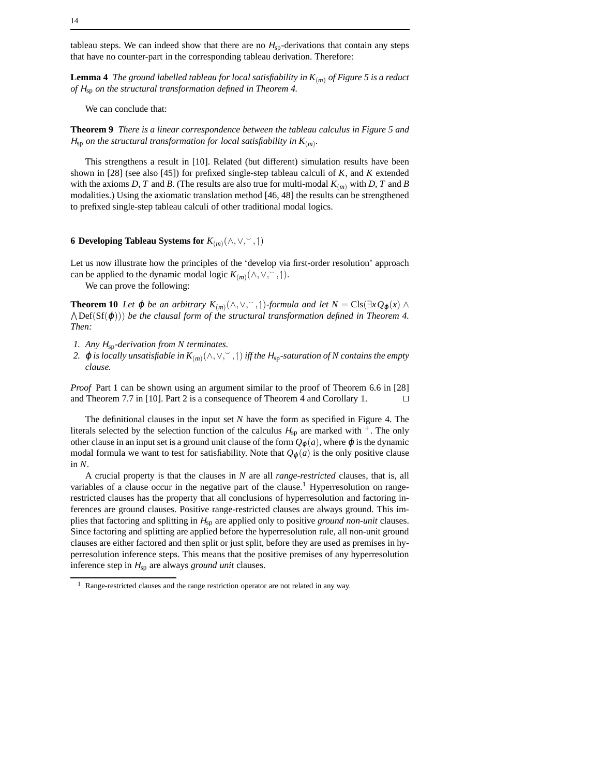tableau steps. We can indeed show that there are no  $H_{\rm SD}$ -derivations that contain any steps that have no counter-part in the corresponding tableau derivation. Therefore:

**Lemma 4** *The ground labelled tableau for local satisfiability in*  $K_{(m)}$  *of Figure 5 is a reduct of* Hsp *on the structural transformation defined in Theorem 4.*

We can conclude that:

**Theorem 9** *There is a linear correspondence between the tableau calculus in Figure 5 and*  $H_{\text{sp}}$  *on the structural transformation for local satisfiability in*  $K_{(m)}$ *.* 

This strengthens a result in [10]. Related (but different) simulation results have been shown in [28] (see also [45]) for prefixed single-step tableau calculi of *K*, and *K* extended with the axioms *D*, *T* and *B*. (The results are also true for multi-modal  $K_{(m)}$  with *D*, *T* and *B* modalities.) Using the axiomatic translation method [46, 48] the results can be strengthened to prefixed single-step tableau calculi of other traditional modal logics.

# **6 Developing Tableau Systems for**  $K_{(m)}(\wedge,\vee,\vee,^{\sim},\uparrow)$

Let us now illustrate how the principles of the 'develop via first-order resolution' approach can be applied to the dynamic modal logic  $K_{(m)}(\wedge,\vee,\sim,1)$ .

We can prove the following:

**Theorem 10** *Let*  $\varphi$  *be an arbitrary*  $K_{(m)}(\wedge,\vee,\vee,1)$ *-formula and let*  $N = \text{Cls}(\exists x Q_{\varphi}(x) \wedge \neg(x))$  $\Lambda$ Def(Sf( $\varphi$ ))) *be the clausal form of the structural transformation defined in Theorem 4. Then:*

- *1. Any* Hsp*-derivation from N terminates.*
- 2.  $\varphi$  *is locally unsatisfiable in*  $K_{(m)}(\wedge,\vee,^{\sim},+)$  *iff the*  $H_{\text{sp}}$ -saturation of N contains the empty *clause.*

*Proof* Part 1 can be shown using an argument similar to the proof of Theorem 6.6 in [28] and Theorem 7.7 in [10]. Part 2 is a consequence of Theorem 4 and Corollary 1. □

The definitional clauses in the input set *N* have the form as specified in Figure 4. The literals selected by the selection function of the calculus  $H_{sp}$  are marked with  $^+$ . The only other clause in an input set is a ground unit clause of the form  $Q_{\phi}(a)$ , where  $\phi$  is the dynamic modal formula we want to test for satisfiability. Note that  $Q_{\phi}(a)$  is the only positive clause in *N*.

A crucial property is that the clauses in *N* are all *range-restricted* clauses, that is, all variables of a clause occur in the negative part of the clause.<sup>1</sup> Hyperresolution on rangerestricted clauses has the property that all conclusions of hyperresolution and factoring inferences are ground clauses. Positive range-restricted clauses are always ground. This implies that factoring and splitting in  $H_{sp}$  are applied only to positive *ground non-unit* clauses. Since factoring and splitting are applied before the hyperresolution rule, all non-unit ground clauses are either factored and then split or just split, before they are used as premises in hyperresolution inference steps. This means that the positive premises of any hyperresolution inference step in  $H_{sp}$  are always *ground unit* clauses.

<sup>&</sup>lt;sup>1</sup> Range-restricted clauses and the range restriction operator are not related in any way.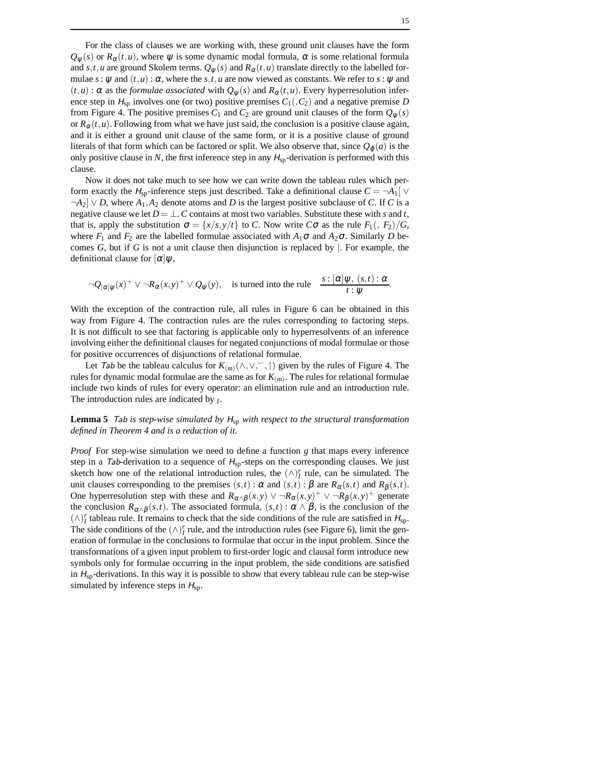For the class of clauses we are working with, these ground unit clauses have the form  $Q_{\psi}(s)$  or  $R_{\alpha}(t, u)$ , where  $\psi$  is some dynamic modal formula,  $\alpha$  is some relational formula and *s*,*t*,*u* are ground Skolem terms.  $Q_{\psi}(s)$  and  $R_{\alpha}(t, u)$  translate directly to the labelled formulae  $s : \psi$  and  $(t, u) : \alpha$ , where the  $s, t, u$  are now viewed as constants. We refer to  $s : \psi$  and  $(t, u)$ :  $\alpha$  as the *formulae associated* with  $Q_{\psi}(s)$  and  $R_{\alpha}(t, u)$ . Every hyperresolution inference step in  $H_{\text{sp}}$  involves one (or two) positive premises  $C_1$  ( $C_2$ ) and a negative premise *D* from Figure 4. The positive premises  $C_1$  and  $C_2$  are ground unit clauses of the form  $Q_\psi(s)$ or  $R_{\alpha}(t, u)$ . Following from what we have just said, the conclusion is a positive clause again, and it is either a ground unit clause of the same form, or it is a positive clause of ground literals of that form which can be factored or split. We also observe that, since  $Q_{\omega}(a)$  is the only positive clause in  $N$ , the first inference step in any  $H_{sp}$ -derivation is performed with this clause.

Now it does not take much to see how we can write down the tableau rules which perform exactly the  $H_{\text{sp}}$ -inference steps just described. Take a definitional clause  $C = \neg A_1$ [ $\vee$  $\neg A_2 \lor D$ , where  $A_1, A_2$  denote atoms and *D* is the largest positive subclause of *C*. If *C* is a negative clause we let  $D = \perp$ . *C* contains at most two variables. Substitute these with *s* and *t*, that is, apply the substitution  $\sigma = \{x/s, y/t\}$  to *C*. Now write  $C\sigma$  as the rule  $F_1($ ,  $F_2)/G$ , where  $F_1$  and  $F_2$  are the labelled formulae associated with  $A_1\sigma$  and  $A_2\sigma$ . Similarly *D* becomes *G*, but if *G* is not a unit clause then disjunction is replaced by |. For example, the definitional clause for  $\alpha|\psi$ ,

$$
\neg Q_{[\alpha]\psi}(x)^+ \vee \neg R_{\alpha}(x,y)^+ \vee Q_{\psi}(y), \quad \text{is turned into the rule} \quad \frac{s : [\alpha]\psi, (s,t) : \alpha}{t : \psi}.
$$

With the exception of the contraction rule, all rules in Figure 6 can be obtained in this way from Figure 4. The contraction rules are the rules corresponding to factoring steps. It is not difficult to see that factoring is applicable only to hyperresolvents of an inference involving either the definitional clauses for negated conjunctions of modal formulae or those for positive occurrences of disjunctions of relational formulae.

Let Tab be the tableau calculus for  $K_{(m)}(\wedge,\vee,\vee,1)$  given by the rules of Figure 4. The rules for dynamic modal formulae are the same as for *K*(*m*) . The rules for relational formulae include two kinds of rules for every operator: an elimination rule and an introduction rule. The introduction rules are indicated by *<sup>I</sup>* .

**Lemma 5** Tab *is step-wise simulated by*  $H_{sp}$  *with respect to the structural transformation defined in Theorem 4 and is a reduction of it.*

*Proof* For step-wise simulation we need to define a function *g* that maps every inference step in a Tab-derivation to a sequence of  $H_{\rm sp}$ -steps on the corresponding clauses. We just sketch how one of the relational introduction rules, the  $(\wedge)^r_I$  rule, can be simulated. The unit clauses corresponding to the premises  $(s,t)$  :  $\alpha$  and  $(s,t)$  :  $\beta$  are  $R_{\alpha}(s,t)$  and  $R_{\beta}(s,t)$ . One hyperresolution step with these and  $R_{\alpha\beta}(x, y) \vee \neg R_{\alpha}(x, y)^{+} \vee \neg R_{\beta}(x, y)^{+}$  generate the conclusion  $R_{\alpha\wedge\beta}(s,t)$ . The associated formula,  $(s,t): \alpha\wedge\beta$ , is the conclusion of the  $(\wedge)$ <sup>*r*</sup> tableau rule. It remains to check that the side conditions of the rule are satisfied in  $H_{\text{sp}}$ . The side conditions of the  $(\wedge)^r$  rule, and the introduction rules (see Figure 6), limit the generation of formulae in the conclusions to formulae that occur in the input problem. Since the transformations of a given input problem to first-order logic and clausal form introduce new symbols only for formulae occurring in the input problem, the side conditions are satisfied in  $H_{\rm SD}$ -derivations. In this way it is possible to show that every tableau rule can be step-wise simulated by inference steps in  $H_{sp}$ .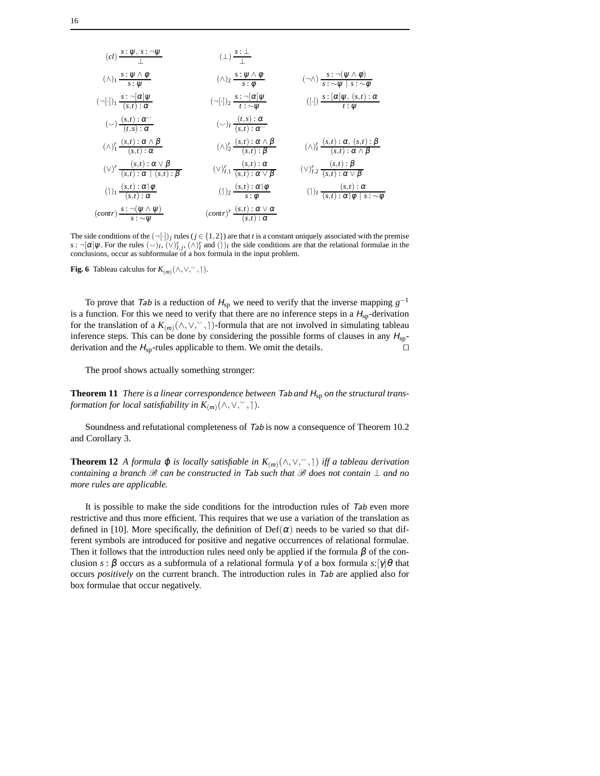$$
(c1) \frac{s:\psi, s:\neg\psi}{\bot} \qquad (\bot) \frac{s:\bot}{\bot}
$$
\n
$$
(\wedge)_{1} \frac{s:\psi \wedge \phi}{s:\psi} \qquad (\wedge)_{2} \frac{s:\psi \wedge \phi}{s:\phi} \qquad (\neg\wedge) \frac{s:\neg(\psi \wedge \phi)}{s:\neg\psi \mid s:\neg\phi}
$$
\n
$$
(\neg[\cdot])_{1} \frac{s:\neg[\alpha]\psi}{(s,t):\alpha} \qquad (\neg[\cdot])_{2} \frac{s:\neg[\alpha]\psi}{t:\neg\psi} \qquad ([\cdot])_{3} \frac{s:\neg(\psi \wedge \phi)}{t:\psi} \frac{s:\neg(\psi \wedge \phi)}{t:\psi}
$$
\n
$$
(\vee) \frac{(s,t):\alpha}{(t,s):\alpha} \qquad (\vee)_{1} \frac{(t,s):\alpha}{(s,t):\alpha} \qquad (\vee)_{1} \frac{(t,s):\alpha}{(s,t):\alpha} \qquad (\wedge)_{2}^{r} \frac{(s,t):\alpha \wedge \beta}{(s,t):\alpha} \qquad (\wedge)_{1}^{r} \frac{(s,t):\alpha}{t:\psi} \frac{s:\neg(\psi \wedge \phi)}{t:\psi}
$$
\n
$$
(\vee)_{1}^{r} \frac{(s,t):\alpha}{(s,t):\alpha} \qquad (\vee)_{1}^{r} \frac{(s,t):\alpha}{(s,t):\alpha} \qquad (\vee)_{1}^{r} \frac{(s,t):\alpha}{(s,t):\alpha} \qquad (\vee)_{1}^{r} \frac{(s,t):\alpha}{(s,t):\alpha} \qquad (\vee)_{1}^{r} \frac{(s,t):\alpha}{(s,t):\alpha} \qquad (\vee)_{1}^{r} \frac{(s,t):\alpha}{(s,t):\alpha} \qquad (\vee)_{1}^{r} \frac{(s,t):\alpha}{(s,t):\alpha} \qquad (\vee)_{1}^{r} \frac{(s,t):\alpha}{(s,t):\alpha} \qquad (\vee)_{1}^{r} \frac{(s,t):\alpha}{(s,t):\alpha} \qquad (\vee)_{1}^{r} \frac{(s,t):\alpha}{(s,t):\alpha} \qquad (\vee)_{1}^{r} \frac{(s,t):\alpha}{(s,t):\alpha} \qquad (\vee)_{1}^{r} \frac{(s,t):\alpha}{(s,t):\alpha} \qquad (\vee)_{1}^{r} \frac{(s,t):\alpha}{(s,t):\alpha} \qquad (\vee)_{1}^{r} \frac{(s,t):\alpha}{
$$

The side conditions of the  $(\neg[\cdot])_j$  rules ( $j \in \{1,2\}$ ) are that *t* is a constant uniquely associated with the premise  $s: \neg[\alpha]\psi$ . For the rules  $(\neg)_I$ ,  $(\neg)_I$ ,  $(\neg)_I$  and  $(1)_I$  the side conditions are that the relational formulae in the conclusions, occur as subformulae of a box formula in the input problem.

**Fig. 6** Tableau calculus for  $K_{(m)}(\wedge,\vee,\sim,1)$ .

To prove that Tab is a reduction of  $H_{sp}$  we need to verify that the inverse mapping  $g^{-1}$ is a function. For this we need to verify that there are no inference steps in a  $H_{sp}$ -derivation for the translation of a  $K_{(m)}(\wedge,\vee,\check{\phantom{a}},!)$ -formula that are not involved in simulating tableau inference steps. This can be done by considering the possible forms of clauses in any  $H_{sp}$ derivation and the  $H_{sp}$ -rules applicable to them. We omit the details. □

The proof shows actually something stronger:

**Theorem 11** *There is a linear correspondence between* Tab *and* H<sub>sp</sub> *on the structural transformation for local satisfiability in*  $K_{(m)}(\wedge,\vee,^{\sim},\uparrow).$ 

Soundness and refutational completeness of Tab is now a consequence of Theorem 10.2 and Corollary 3.

**Theorem 12** *A formula*  $\varphi$  *is locally satisfiable in*  $K_{(m)}(\wedge,\vee,\vee,1)$  *iff a tableau derivation containing a branch* B *can be constructed in* Tab *such that* B *does not contain* ⊥ *and no more rules are applicable.*

It is possible to make the side conditions for the introduction rules of Tab even more restrictive and thus more efficient. This requires that we use a variation of the translation as defined in [10]. More specifically, the definition of  $\text{Def}(\alpha)$  needs to be varied so that different symbols are introduced for positive and negative occurrences of relational formulae. Then it follows that the introduction rules need only be applied if the formula  $\beta$  of the conclusion *s* :  $\beta$  occurs as a subformula of a relational formula  $\gamma$  of a box formula *s*:[ $\gamma$ ] $\theta$  that occurs *positively* on the current branch. The introduction rules in Tab are applied also for box formulae that occur negatively.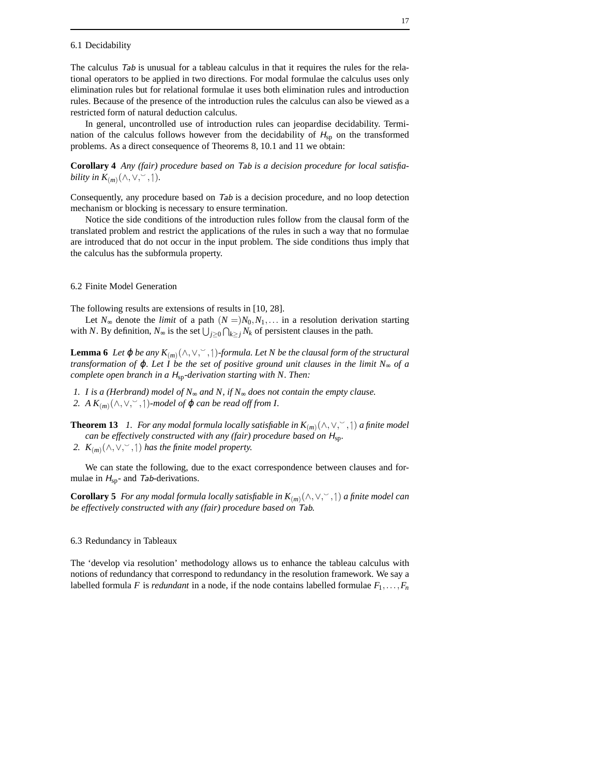### 6.1 Decidability

The calculus Tab is unusual for a tableau calculus in that it requires the rules for the relational operators to be applied in two directions. For modal formulae the calculus uses only elimination rules but for relational formulae it uses both elimination rules and introduction rules. Because of the presence of the introduction rules the calculus can also be viewed as a restricted form of natural deduction calculus.

In general, uncontrolled use of introduction rules can jeopardise decidability. Termination of the calculus follows however from the decidability of  $H_{sp}$  on the transformed problems. As a direct consequence of Theorems 8, 10.1 and 11 we obtain:

**Corollary 4** *Any (fair) procedure based on* Tab *is a decision procedure for local satisfiability in*  $K_{(m)}(\wedge,\vee,\sim,1)$ *.* 

Consequently, any procedure based on Tab is a decision procedure, and no loop detection mechanism or blocking is necessary to ensure termination.

Notice the side conditions of the introduction rules follow from the clausal form of the translated problem and restrict the applications of the rules in such a way that no formulae are introduced that do not occur in the input problem. The side conditions thus imply that the calculus has the subformula property.

## 6.2 Finite Model Generation

The following results are extensions of results in [10, 28].

Let  $N_{\infty}$  denote the *limit* of a path  $(N = N_0, N_1, \dots$  in a resolution derivation starting with *N*. By definition,  $N_{\infty}$  is the set  $\bigcup_{j\geq 0} \bigcap_{k\geq j} N_k$  of persistent clauses in the path.

**Lemma 6** Let  $\varphi$  be any  $K_{(m)}(\wedge,\vee,\breve{\phantom{m}}\, ,\rightharpoonup)$ *-formula. Let N be the clausal form of the structural transformation of* <sup>ϕ</sup>*. Let I be the set of positive ground unit clauses in the limit N*<sup>∞</sup> *of a complete open branch in a H<sub>sp</sub>-derivation starting with N. Then:* 

*1. I is a (Herbrand) model of N*<sup>∞</sup> *and N, if N*<sup>∞</sup> *does not contain the empty clause.* 2.  $A K_{(m)}(\wedge,\vee,\breve{\wedge},\uparrow)$ *-model of*  $\varphi$  *can be read off from I.* 

**Theorem 13** *1. For any modal formula locally satisfiable in*  $K_{(m)}(\wedge,\vee,\breve{\phantom{m}}\,1)$  *a finite model can be effectively constructed with any (fair) procedure based on*  $H_{sp}$ .

2.  $K_{(m)}(\wedge,\vee,\vee,1)$  *has the finite model property.* 

We can state the following, due to the exact correspondence between clauses and formulae in  $H_{\text{sp}}$ - and Tab-derivations.

**Corollary 5** For any modal formula locally satisfiable in  $K_{(m)}(\wedge,\vee,\vee)$ ,  $\wedge$ ,  $)$  a finite model can *be effectively constructed with any (fair) procedure based on* Tab*.*

## 6.3 Redundancy in Tableaux

The 'develop via resolution' methodology allows us to enhance the tableau calculus with notions of redundancy that correspond to redundancy in the resolution framework. We say a labelled formula *F* is *redundant* in a node, if the node contains labelled formulae  $F_1, \ldots, F_n$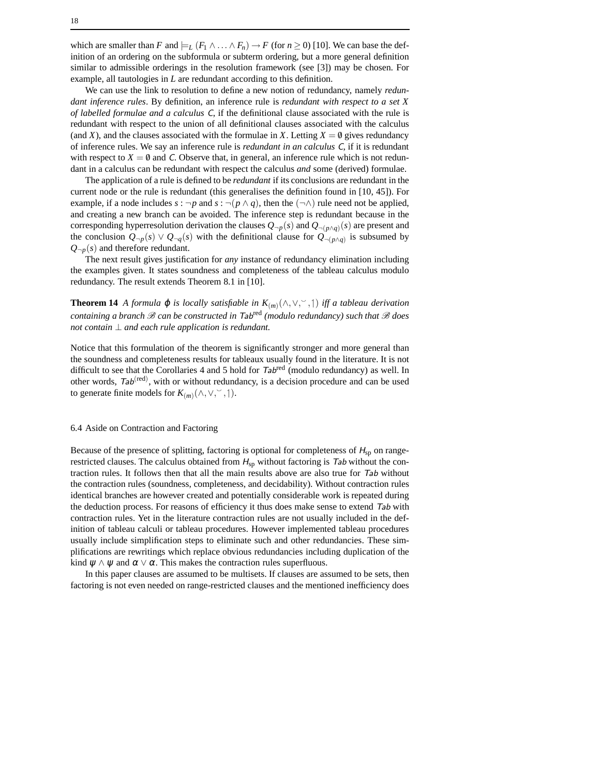which are smaller than *F* and  $\models_L (F_1 \land ... \land F_n) \rightarrow F$  (for  $n \ge 0$ ) [10]. We can base the definition of an ordering on the subformula or subterm ordering, but a more general definition similar to admissible orderings in the resolution framework (see [3]) may be chosen. For example, all tautologies in *L* are redundant according to this definition.

We can use the link to resolution to define a new notion of redundancy, namely *redundant inference rules*. By definition, an inference rule is *redundant with respect to a set X of labelled formulae and a calculus* C, if the definitional clause associated with the rule is redundant with respect to the union of all definitional clauses associated with the calculus (and *X*), and the clauses associated with the formulae in *X*. Letting  $X = 0$  gives redundancy of inference rules. We say an inference rule is *redundant in an calculus* C, if it is redundant with respect to  $X = \emptyset$  and C. Observe that, in general, an inference rule which is not redundant in a calculus can be redundant with respect the calculus *and* some (derived) formulae.

The application of a rule is defined to be *redundant* if its conclusions are redundant in the current node or the rule is redundant (this generalises the definition found in [10, 45]). For example, if a node includes  $s : \neg p$  and  $s : \neg (p \land q)$ , then the  $(\neg \land)$  rule need not be applied, and creating a new branch can be avoided. The inference step is redundant because in the corresponding hyperresolution derivation the clauses  $Q_{\neg p}(s)$  and  $Q_{\neg (p \land q)}(s)$  are present and the conclusion  $Q_{\neg p}(s) \vee Q_{\neg q}(s)$  with the definitional clause for  $Q_{\neg (p \wedge q)}$  is subsumed by  $Q_{\neg p}(s)$  and therefore redundant.

The next result gives justification for *any* instance of redundancy elimination including the examples given. It states soundness and completeness of the tableau calculus modulo redundancy. The result extends Theorem 8.1 in [10].

**Theorem 14** *A formula*  $\varphi$  *is locally satisfiable in*  $K_{(m)}(\wedge,\vee,\vee,1)$  *iff a tableau derivation containing a branch*  $\mathcal B$  *can be constructed in Tab*<sup>red</sup> *(modulo redundancy)* such that  $\mathcal B$  *does not contain* ⊥ *and each rule application is redundant.*

Notice that this formulation of the theorem is significantly stronger and more general than the soundness and completeness results for tableaux usually found in the literature. It is not difficult to see that the Corollaries 4 and 5 hold for  $Tab<sup>red</sup>$  (modulo redundancy) as well. In other words,  $Tab<sup>(red)</sup>$ , with or without redundancy, is a decision procedure and can be used to generate finite models for  $K_{(m)}(\wedge,\vee,^{\sim},\uparrow).$ 

#### 6.4 Aside on Contraction and Factoring

Because of the presence of splitting, factoring is optional for completeness of  $H_{sp}$  on rangerestricted clauses. The calculus obtained from  $H_{\rm sp}$  without factoring is Tab without the contraction rules. It follows then that all the main results above are also true for Tab without the contraction rules (soundness, completeness, and decidability). Without contraction rules identical branches are however created and potentially considerable work is repeated during the deduction process. For reasons of efficiency it thus does make sense to extend Tab with contraction rules. Yet in the literature contraction rules are not usually included in the definition of tableau calculi or tableau procedures. However implemented tableau procedures usually include simplification steps to eliminate such and other redundancies. These simplifications are rewritings which replace obvious redundancies including duplication of the kind  $\psi \wedge \psi$  and  $\alpha \vee \alpha$ . This makes the contraction rules superfluous.

In this paper clauses are assumed to be multisets. If clauses are assumed to be sets, then factoring is not even needed on range-restricted clauses and the mentioned inefficiency does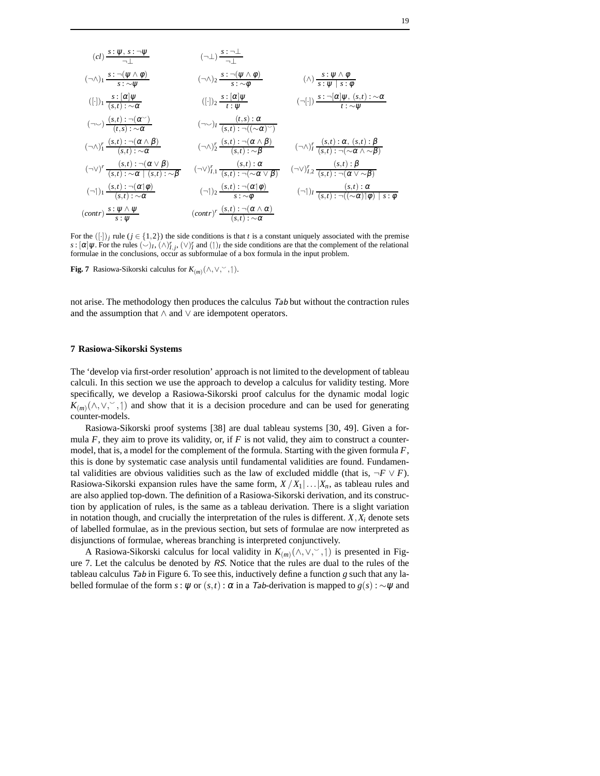$$
(ct) \frac{s:\psi, s:\neg\psi}{\neg\bot} \qquad (\neg\bot) \frac{s:\neg\bot}{\neg\bot}
$$
\n
$$
(\neg\land) \frac{s:\neg(\psi \land \phi)}{s:\neg\psi} \qquad (\neg\land) \frac{s:\neg(\psi \land \phi)}{s:\neg\phi} \qquad (\land) \frac{s:\psi \land \phi}{s:\psi \mid s:\phi}
$$
\n
$$
([\cdot]) \frac{s:\lbrack \alpha \rbrack \psi}{(s,t):\neg\alpha} \qquad ([\cdot]) \frac{s:\lbrack \alpha \rbrack \psi}{t:\psi} \qquad (\neg\cdot)] \frac{s:\lbrack \alpha \rbrack \psi}{t:\psi} \qquad (\neg\cdot)] \frac{s:\lbrack \alpha \rbrack \psi}{t:\psi} \qquad (\neg\cdot)] \frac{s:\lbrack \alpha \rbrack \psi, (s,t):\neg\alpha}{t:\neg\psi}
$$
\n
$$
(\neg\land) \frac{(s,t):\neg(\alpha \land \beta)}{(s,t):\neg(\alpha \land \beta)} \qquad (\neg\land) \frac{r}{s:\neg(\alpha \land \beta)} \qquad (\neg\land) \frac{r}{s:\neg(\alpha \land \beta)} \qquad (\neg\land) \frac{r}{s:\neg(\alpha \land \neg\beta)} \qquad (\neg\land) \frac{r}{s:\neg(\alpha \land \neg\beta)} \qquad (\neg\land) \frac{r}{s:\neg(\alpha \land \neg\beta)} \qquad (\neg\land) \frac{r}{s:\neg(\alpha \land \neg\beta)} \qquad (\neg\land) \frac{r}{s:\neg(\alpha \land \neg\beta)} \qquad (\neg\land) \frac{r}{s:\neg(\alpha \land \neg\beta)} \qquad (\neg\land) \frac{r}{s:\neg(\alpha \land \neg\beta)} \qquad (\neg\land) \frac{r}{s:\neg(\alpha \land \neg\beta)} \qquad (\neg\land) \frac{r}{s:\neg(\alpha \land \neg\beta)} \qquad (\neg\land) \frac{r}{s:\neg(\alpha \land \neg\beta)} \qquad (\neg\land) \frac{r}{s:\neg(\alpha \land \neg\beta)} \qquad (\neg\land) \frac{r}{s:\neg(\alpha \land \neg\beta)} \qquad (\neg\land) \frac{r}{s:\neg(\alpha \land \neg\beta)} \qquad (\neg\land) \frac{r}{s:\neg(\alpha \land \neg\beta)} \qquad (\neg\land) \frac{r}{s:\neg(\alpha \land \neg\beta)} \qquad (\neg\land) \frac{r}{s:\neg
$$

For the  $([\cdot])_j$  rule ( $j \in \{1,2\}$ ) the side conditions is that *t* is a constant uniquely associated with the premise *s* :  $[\alpha]\psi$ . For the rules  $(\sim)$ <sub>*I*</sub>,  $(\land)$ <sup>*r*</sup><sub>*I*</sub>,  $(\lor)$ <sup>*r*</sup><sub>*I*</sub> and  $(1)$ *<sub><i>I*</sub> the side conditions are that the complement of the relational formulae in the conclusions, occur as subformulae of a box formula in the input problem.

**Fig. 7** Rasiowa-Sikorski calculus for  $K_{(m)}(\wedge,\vee,\vee,1)$ .

not arise. The methodology then produces the calculus Tab but without the contraction rules and the assumption that ∧ and ∨ are idempotent operators.

# **7 Rasiowa-Sikorski Systems**

The 'develop via first-order resolution' approach is not limited to the development of tableau calculi. In this section we use the approach to develop a calculus for validity testing. More specifically, we develop a Rasiowa-Sikorski proof calculus for the dynamic modal logic  $K_{(m)}(\wedge,\vee,\sim,1)$  and show that it is a decision procedure and can be used for generating counter-models.

Rasiowa-Sikorski proof systems [38] are dual tableau systems [30, 49]. Given a formula  $F$ , they aim to prove its validity, or, if  $F$  is not valid, they aim to construct a countermodel, that is, a model for the complement of the formula. Starting with the given formula *F*, this is done by systematic case analysis until fundamental validities are found. Fundamental validities are obvious validities such as the law of excluded middle (that is,  $\neg F \lor F$ ). Rasiowa-Sikorski expansion rules have the same form,  $X/X_1$ ... $|X_n$ , as tableau rules and are also applied top-down. The definition of a Rasiowa-Sikorski derivation, and its construction by application of rules, is the same as a tableau derivation. There is a slight variation in notation though, and crucially the interpretation of the rules is different.  $X$ ,  $X$ <sup>*i*</sup> denote sets of labelled formulae, as in the previous section, but sets of formulae are now interpreted as disjunctions of formulae, whereas branching is interpreted conjunctively.

A Rasiowa-Sikorski calculus for local validity in  $K_{(m)}(\wedge,\vee,\tilde{\wedge},!)$  is presented in Figure 7. Let the calculus be denoted by RS. Notice that the rules are dual to the rules of the tableau calculus Tab in Figure 6. To see this, inductively define a function *g* such that any labelled formulae of the form *s* :  $\psi$  or  $(s, t)$ :  $\alpha$  in a Tab-derivation is mapped to  $g(s)$ : ∼ $\psi$  and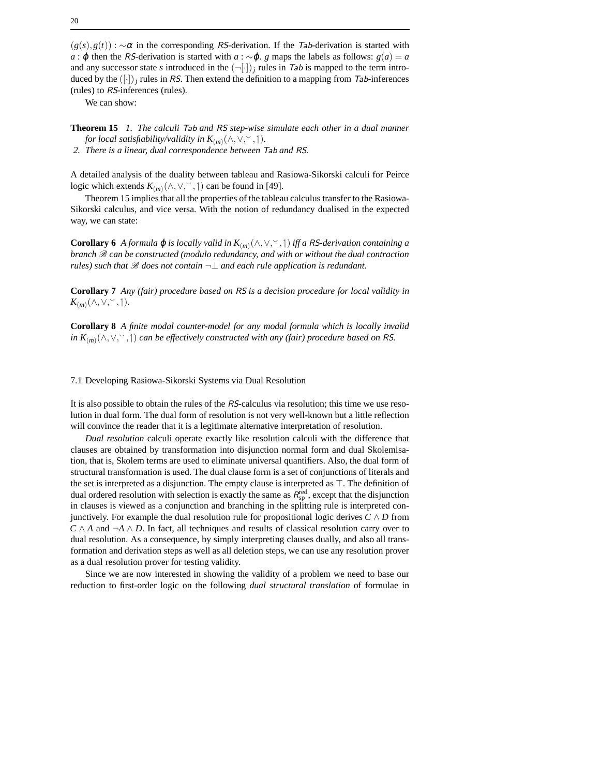$(g(s), g(t))$ : ∼α in the corresponding RS-derivation. If the Tab-derivation is started with *a* :  $\varphi$  then the RS-derivation is started with *a* : ∼ $\varphi$ . *g* maps the labels as follows: *g*(*a*) = *a* and any successor state *s* introduced in the  $(\neg[\cdot])_j$  rules in Tab is mapped to the term introduced by the  $(\cdot|\cdot)$ <sub>*j*</sub> rules in RS. Then extend the definition to a mapping from Tab-inferences (rules) to RS-inferences (rules).

We can show:

**Theorem 15** *1. The calculi* Tab *and* RS *step-wise simulate each other in a dual manner for local satisfiability/validity in*  $K_{(m)}(\wedge,\vee,\breve{~},\uparrow).$ 

*2. There is a linear, dual correspondence between* Tab *and* RS*.*

A detailed analysis of the duality between tableau and Rasiowa-Sikorski calculi for Peirce logic which extends  $K_{(m)}(\wedge,\vee,\check{\phantom{\dagger}}\,,\uparrow)$  can be found in [49].

Theorem 15 implies that all the properties of the tableau calculus transfer to the Rasiowa-Sikorski calculus, and vice versa. With the notion of redundancy dualised in the expected way, we can state:

**Corollary 6** *A formula*  $\varphi$  *is locally valid in*  $K_{(m)}(\wedge,\vee,\vee,\wedge)$  *iff a RS-derivation containing a branch*  $B$  *can be constructed (modulo redundancy, and with or without the dual contraction rules)* such that  $\mathcal{B}$  does not contain  $\neg \bot$  and each rule application is redundant.

**Corollary 7** *Any (fair) procedure based on* RS *is a decision procedure for local validity in*  $K_{(m)}(\wedge,\vee,\sim,1).$ 

**Corollary 8** *A finite modal counter-model for any modal formula which is locally invalid*  $\lim_{m \to \infty} K(m) (\wedge, \vee, \vee, \wedge)$  *can be effectively constructed with any (fair) procedure based on RS.* 

### 7.1 Developing Rasiowa-Sikorski Systems via Dual Resolution

It is also possible to obtain the rules of the RS-calculus via resolution; this time we use resolution in dual form. The dual form of resolution is not very well-known but a little reflection will convince the reader that it is a legitimate alternative interpretation of resolution.

*Dual resolution* calculi operate exactly like resolution calculi with the difference that clauses are obtained by transformation into disjunction normal form and dual Skolemisation, that is, Skolem terms are used to eliminate universal quantifiers. Also, the dual form of structural transformation is used. The dual clause form is a set of conjunctions of literals and the set is interpreted as a disjunction. The empty clause is interpreted as ⊤. The definition of dual ordered resolution with selection is exactly the same as  $R_{\text{sp}}^{\text{red}}$ , except that the disjunction in clauses is viewed as a conjunction and branching in the splitting rule is interpreted conjunctively. For example the dual resolution rule for propositional logic derives  $C \wedge D$  from *C* ∧ *A* and ¬*A* ∧ *D*. In fact, all techniques and results of classical resolution carry over to dual resolution. As a consequence, by simply interpreting clauses dually, and also all transformation and derivation steps as well as all deletion steps, we can use any resolution prover as a dual resolution prover for testing validity.

Since we are now interested in showing the validity of a problem we need to base our reduction to first-order logic on the following *dual structural translation* of formulae in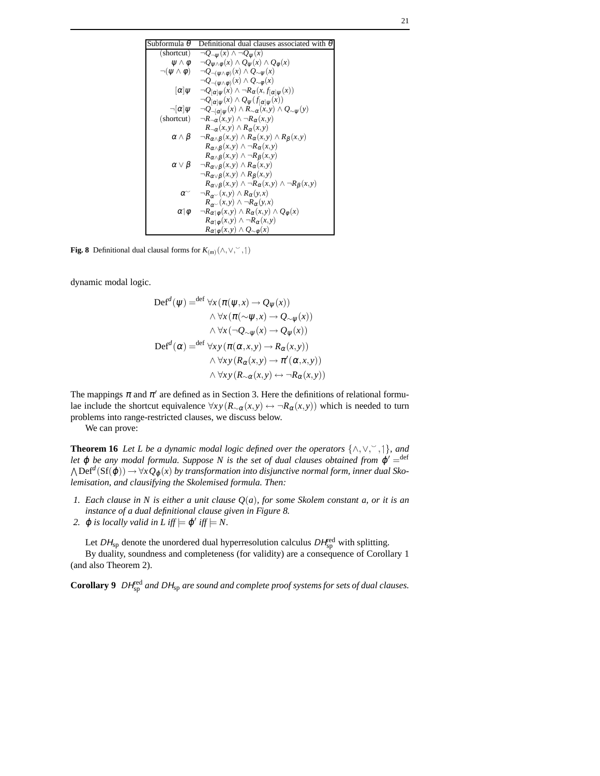

**Fig. 8** Definitional dual clausal forms for  $K_{(m)}(\wedge,\vee,\sim,1)$ 

dynamic modal logic.

$$
Defd(\psi) = \frac{\det \forall x (\pi(\psi, x) \to Q_{\psi}(x))}{\wedge \forall x (\pi(\sim \psi, x) \to Q_{\sim \psi}(x))}
$$
  

$$
\wedge \forall x (\neg Q_{\sim \psi}(x) \to Q_{\psi}(x))
$$
  

$$
Defd(\alpha) = \frac{\det \forall xy (\pi(\alpha, x, y) \to R_{\alpha}(x, y))}{\wedge \forall xy (R_{\alpha}(x, y) \to \pi'(\alpha, x, y))}
$$
  

$$
\wedge \forall xy (R_{\sim \alpha}(x, y) \leftrightarrow \neg R_{\alpha}(x, y))
$$

The mappings  $\pi$  and  $\pi'$  are defined as in Section 3. Here the definitions of relational formulae include the shortcut equivalence  $\forall xy (R_{\sim \alpha}(x, y) \leftrightarrow \neg R_{\alpha}(x, y))$  which is needed to turn problems into range-restricted clauses, we discuss below.

We can prove:

**Theorem 16** *Let L be a dynamic modal logic defined over the operators* {∧,∨, ` , ↿}*, and let* φ *be any modal formula. Suppose N is the set of dual clauses obtained from* φ' =<sup>def</sup>  $\bigwedge \mathrm{Def}^d(\mathrm{Sf}(\varphi)) \to \forall x Q_\varphi(x)$  by transformation into disjunctive normal form, inner dual Sko*lemisation, and clausifying the Skolemised formula. Then:*

- *1. Each clause in N is either a unit clause Q*(*a*)*, for some Skolem constant a, or it is an instance of a dual definitional clause given in Figure 8.*
- 2.  $\varphi$  *is locally valid in L iff*  $\models \varphi'$  *iff*  $\models N$ .

Let  $DH_{\text{sp}}$  denote the unordered dual hyperresolution calculus  $DH_{\text{sp}}^{\text{ed}}$  with splitting. By duality, soundness and completeness (for validity) are a consequence of Corollary 1 (and also Theorem 2).

**Corollary 9** DH<sup>eed</sup> and DH<sub>sp</sub> are sound and complete proof systems for sets of dual clauses.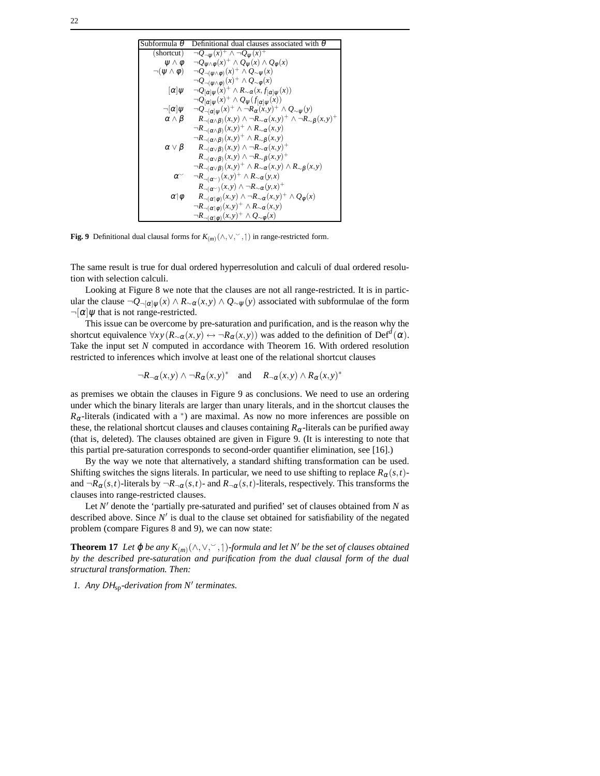

**Fig. 9** Definitional dual clausal forms for  $K_{(m)}(\wedge,\vee,\vee,1)$  in range-restricted form.

The same result is true for dual ordered hyperresolution and calculi of dual ordered resolution with selection calculi.

Looking at Figure 8 we note that the clauses are not all range-restricted. It is in particular the clause  $\neg Q_{\neg[\alpha]\psi}(x) \land R_{\neg\alpha}(x, y) \land Q_{\neg\psi}(y)$  associated with subformulae of the form  $\neg \left[\alpha\right]\psi$  that is not range-restricted.

This issue can be overcome by pre-saturation and purification, and is the reason why the shortcut equivalence  $\forall xy (R_{\sim \alpha}(x, y) \leftrightarrow \neg R_{\alpha}(x, y))$  was added to the definition of Def<sup>d</sup>( $\alpha$ ). Take the input set *N* computed in accordance with Theorem 16. With ordered resolution restricted to inferences which involve at least one of the relational shortcut clauses

$$
\neg R_{\neg \alpha}(x, y) \land \neg R_{\alpha}(x, y)^{*} \quad \text{and} \quad R_{\neg \alpha}(x, y) \land R_{\alpha}(x, y)^{*}
$$

as premises we obtain the clauses in Figure 9 as conclusions. We need to use an ordering under which the binary literals are larger than unary literals, and in the shortcut clauses the  $R_{\alpha}$ -literals (indicated with a  $*$ ) are maximal. As now no more inferences are possible on these, the relational shortcut clauses and clauses containing  $R_\alpha$ -literals can be purified away (that is, deleted). The clauses obtained are given in Figure 9. (It is interesting to note that this partial pre-saturation corresponds to second-order quantifier elimination, see [16].)

By the way we note that alternatively, a standard shifting transformation can be used. Shifting switches the signs literals. In particular, we need to use shifting to replace  $R_\alpha(s,t)$ and  $\neg R_{\alpha}(s,t)$ -literals by  $\neg R_{\neg \alpha}(s,t)$ - and  $R_{\neg \alpha}(s,t)$ -literals, respectively. This transforms the clauses into range-restricted clauses.

Let N' denote the 'partially pre-saturated and purified' set of clauses obtained from N as described above. Since  $N'$  is dual to the clause set obtained for satisfiability of the negated problem (compare Figures 8 and 9), we can now state:

**Theorem 17** Let  $\varphi$  *be any*  $K_{(m)}(\wedge,\vee,\breve{\wedge},\uparrow)$ -formula and let N<sup>'</sup> be the set of clauses obtained *by the described pre-saturation and purification from the dual clausal form of the dual structural transformation. Then:*

*1. Any* DHsp*-derivation from N*′ *terminates.*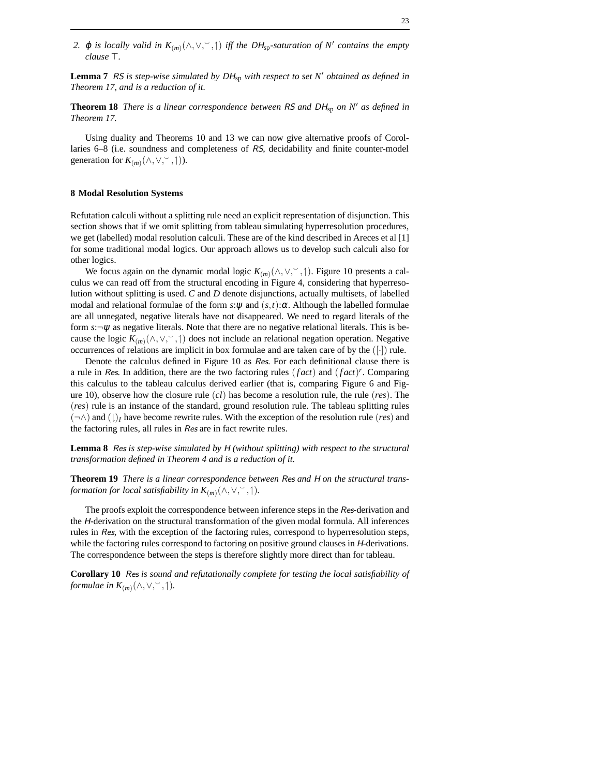2. *ϕ is locally valid in*  $K_{(m)}$ (∧, ∨, <del>c</del>, 1) *iff the DH*<sub>sp</sub>-saturation of *N'* contains the empty *clause* ⊤*.*

**Lemma 7** RS is step-wise simulated by  $DH_{\text{sp}}$  with respect to set N' obtained as defined in *Theorem 17, and is a reduction of it.*

**Theorem 18** *There is a linear correspondence between* RS *and* DHsp *on N*′ *as defined in Theorem 17.*

Using duality and Theorems 10 and 13 we can now give alternative proofs of Corollaries 6–8 (i.e. soundness and completeness of RS, decidability and finite counter-model generation for  $K_{(m)}(\wedge,\vee,\breve{\hspace{1cm}},\uparrow)$ ).

#### **8 Modal Resolution Systems**

Refutation calculi without a splitting rule need an explicit representation of disjunction. This section shows that if we omit splitting from tableau simulating hyperresolution procedures, we get (labelled) modal resolution calculi. These are of the kind described in Areces et al [1] for some traditional modal logics. Our approach allows us to develop such calculi also for other logics.

We focus again on the dynamic modal logic  $K_{(m)}(\wedge,\vee,\vee,1)$ . Figure 10 presents a calculus we can read off from the structural encoding in Figure 4, considering that hyperresolution without splitting is used. *C* and *D* denote disjunctions, actually multisets, of labelled modal and relational formulae of the form  $s:\psi$  and  $(s,t):\alpha$ . Although the labelled formulae are all unnegated, negative literals have not disappeared. We need to regard literals of the form  $s$ : $\neg \psi$  as negative literals. Note that there are no negative relational literals. This is because the logic  $K_{(m)}(\wedge,\vee,\vee,1)$  does not include an relational negation operation. Negative occurrences of relations are implicit in box formulae and are taken care of by the  $(\cdot |)$  rule.

Denote the calculus defined in Figure 10 as Res. For each definitional clause there is a rule in Res. In addition, there are the two factoring rules  $(fact)$  and  $(fact)^r$ . Comparing this calculus to the tableau calculus derived earlier (that is, comparing Figure 6 and Figure 10), observe how the closure rule (*cl*) has become a resolution rule, the rule (*res*). The (*res*) rule is an instance of the standard, ground resolution rule. The tableau splitting rules (¬∧) and (⇂)*<sup>I</sup>* have become rewrite rules. With the exception of the resolution rule (*res*) and the factoring rules, all rules in Res are in fact rewrite rules.

**Lemma 8** Res *is step-wise simulated by* H *(without splitting) with respect to the structural transformation defined in Theorem 4 and is a reduction of it.*

**Theorem 19** *There is a linear correspondence between* Res *and* H *on the structural transformation for local satisfiability in*  $K_{(m)}(\wedge,\vee,~\breve{}~,$ 1).

The proofs exploit the correspondence between inference steps in the Res-derivation and the H-derivation on the structural transformation of the given modal formula. All inferences rules in Res, with the exception of the factoring rules, correspond to hyperresolution steps, while the factoring rules correspond to factoring on positive ground clauses in *H*-derivations. The correspondence between the steps is therefore slightly more direct than for tableau.

**Corollary 10** Res *is sound and refutationally complete for testing the local satisfiability of formulae in*  $K_{(m)}(\wedge,\vee,\sim,1)$ *.*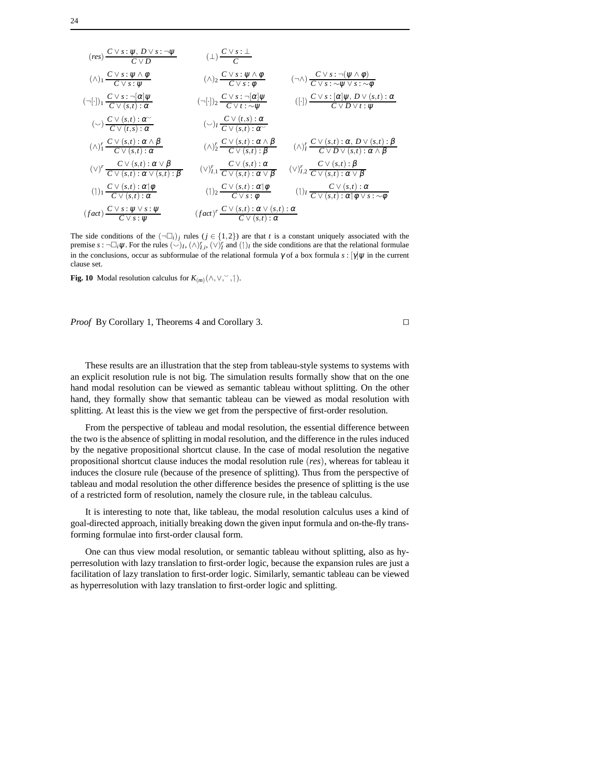$$
(res) \frac{C \vee s : \psi, D \vee s : \neg \psi}{C \vee D} \qquad (\bot) \frac{C \vee s : \bot}{C}
$$
\n
$$
(\wedge)_{1} \frac{C \vee s : \psi \wedge \phi}{C \vee s : \psi} \qquad (\wedge)_{2} \frac{C \vee s : \psi \wedge \phi}{C \vee s : \phi} \qquad (\neg \wedge) \frac{C \vee s : \neg (\psi \wedge \phi)}{C \vee s : \neg \psi \vee s : \neg \phi}
$$
\n
$$
(\neg [\cdot])_{1} \frac{C \vee s : \neg [\alpha] \psi}{C \vee (s, t) : \alpha} \qquad (\neg [\cdot])_{2} \frac{C \vee s : \neg [\alpha] \psi}{C \vee t : \neg \psi} \qquad ([\cdot]) \frac{C \vee s : [\alpha] \psi, D \vee (s, t) : \alpha}{C \vee D \vee t : \psi}
$$
\n
$$
(\vee) \frac{C \vee (s, t) : \alpha}{C \vee (t, s) : \alpha} \qquad (\vee)_{1} \frac{C \vee (t, s) : \alpha}{C \vee (s, t) : \alpha} \qquad (\wedge)_{2} \frac{C \vee (s, t) : \alpha}{C \vee (s, t) : \alpha} \qquad (\wedge)_{3} \frac{C \vee (s, t) : \alpha}{C \vee D \vee (s, t) : \alpha} \qquad (\wedge)_{4} \frac{C \vee (s, t) : \alpha}{C \vee (s, t) : \alpha} \qquad (\wedge)_{5} \frac{C \vee (s, t) : \alpha}{C \vee (s, t) : \alpha} \qquad (\wedge)_{7} \frac{C \vee (s, t) : \alpha}{C \vee (s, t) : \alpha} \qquad (\wedge)_{7} \frac{C \vee (s, t) : \alpha}{C \vee (s, t) : \alpha} \qquad (\vee)_{7} \frac{C \vee (s, t) : \alpha}{C \vee (s, t) : \alpha} \qquad (\vee)_{7} \frac{C \vee (s, t) : \alpha}{C \vee (s, t) : \alpha} \qquad (\vee)_{7} \frac{C \vee (s, t) : \alpha}{C \vee s : \psi} \qquad (\wedge)_{8} \frac{C \
$$

The side conditions of the  $(\neg \Box_i)_j$  rules ( $j \in \{1,2\}$ ) are that *t* is a constant uniquely associated with the premise  $s : \neg \Box_i \psi$ . For the rules  $(\neg)_I$ ,  $(\land)_{I,i}^r$ ,  $(\lor)_{I}^r$  and  $(1)_I$  the side conditions are that the relational formulae in the conclusions, occur as subformulae of the relational formula  $\gamma$  of a box formula  $s$  :  $[\gamma]\psi$  in the current clause set.

**Fig. 10** Modal resolution calculus for  $K_{(m)}(\wedge,\vee,\vee,1)$ .

*Proof* By Corollary 1, Theorems 4 and Corollary 3. □

These results are an illustration that the step from tableau-style systems to systems with an explicit resolution rule is not big. The simulation results formally show that on the one hand modal resolution can be viewed as semantic tableau without splitting. On the other hand, they formally show that semantic tableau can be viewed as modal resolution with splitting. At least this is the view we get from the perspective of first-order resolution.

From the perspective of tableau and modal resolution, the essential difference between the two is the absence of splitting in modal resolution, and the difference in the rules induced by the negative propositional shortcut clause. In the case of modal resolution the negative propositional shortcut clause induces the modal resolution rule (*res*), whereas for tableau it induces the closure rule (because of the presence of splitting). Thus from the perspective of tableau and modal resolution the other difference besides the presence of splitting is the use of a restricted form of resolution, namely the closure rule, in the tableau calculus.

It is interesting to note that, like tableau, the modal resolution calculus uses a kind of goal-directed approach, initially breaking down the given input formula and on-the-fly transforming formulae into first-order clausal form.

One can thus view modal resolution, or semantic tableau without splitting, also as hyperresolution with lazy translation to first-order logic, because the expansion rules are just a facilitation of lazy translation to first-order logic. Similarly, semantic tableau can be viewed as hyperresolution with lazy translation to first-order logic and splitting.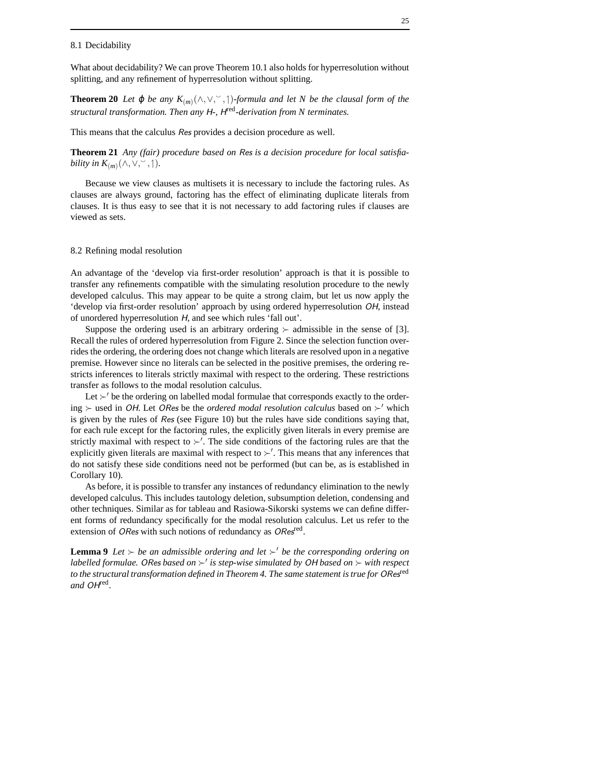#### 8.1 Decidability

What about decidability? We can prove Theorem 10.1 also holds for hyperresolution without splitting, and any refinement of hyperresolution without splitting.

**Theorem 20** *Let*  $\varphi$  *be any*  $K_{(m)}(\wedge,\vee,\vee,\wedge)$ *-formula and let N be the clausal form of the* structural transformation. Then any H-, H<sup>ed</sup>-derivation from N terminates.

This means that the calculus Res provides a decision procedure as well.

**Theorem 21** *Any (fair) procedure based on* Res *is a decision procedure for local satisfiability in*  $K_{(m)}(\wedge,\vee,\sim,1)$ *.* 

Because we view clauses as multisets it is necessary to include the factoring rules. As clauses are always ground, factoring has the effect of eliminating duplicate literals from clauses. It is thus easy to see that it is not necessary to add factoring rules if clauses are viewed as sets.

## 8.2 Refining modal resolution

An advantage of the 'develop via first-order resolution' approach is that it is possible to transfer any refinements compatible with the simulating resolution procedure to the newly developed calculus. This may appear to be quite a strong claim, but let us now apply the 'develop via first-order resolution' approach by using ordered hyperresolution OH, instead of unordered hyperresolution H, and see which rules 'fall out'.

Suppose the ordering used is an arbitrary ordering  $\succ$  admissible in the sense of [3]. Recall the rules of ordered hyperresolution from Figure 2. Since the selection function overrides the ordering, the ordering does not change which literals are resolved upon in a negative premise. However since no literals can be selected in the positive premises, the ordering restricts inferences to literals strictly maximal with respect to the ordering. These restrictions transfer as follows to the modal resolution calculus.

Let ≻′ be the ordering on labelled modal formulae that corresponds exactly to the ordering ≻ used in OH. Let ORes be the *ordered modal resolution calculus* based on ≻′ which is given by the rules of Res (see Figure 10) but the rules have side conditions saying that, for each rule except for the factoring rules, the explicitly given literals in every premise are strictly maximal with respect to  $\succ'$ . The side conditions of the factoring rules are that the explicitly given literals are maximal with respect to  $\succ'$ . This means that any inferences that do not satisfy these side conditions need not be performed (but can be, as is established in Corollary 10).

As before, it is possible to transfer any instances of redundancy elimination to the newly developed calculus. This includes tautology deletion, subsumption deletion, condensing and other techniques. Similar as for tableau and Rasiowa-Sikorski systems we can define different forms of redundancy specifically for the modal resolution calculus. Let us refer to the extension of ORes with such notions of redundancy as ORes<sup>red</sup>.

**Lemma 9** *Let*  $\succ$  *be an admissible ordering and let*  $\succ'$  *be the corresponding ordering on labelled formulae.* ORes *based on* ≻′ *is step-wise simulated by* OH *based on* ≻ *with respect to the structural transformation defined in Theorem 4. The same statement is true for* OResred *and* OHred *.*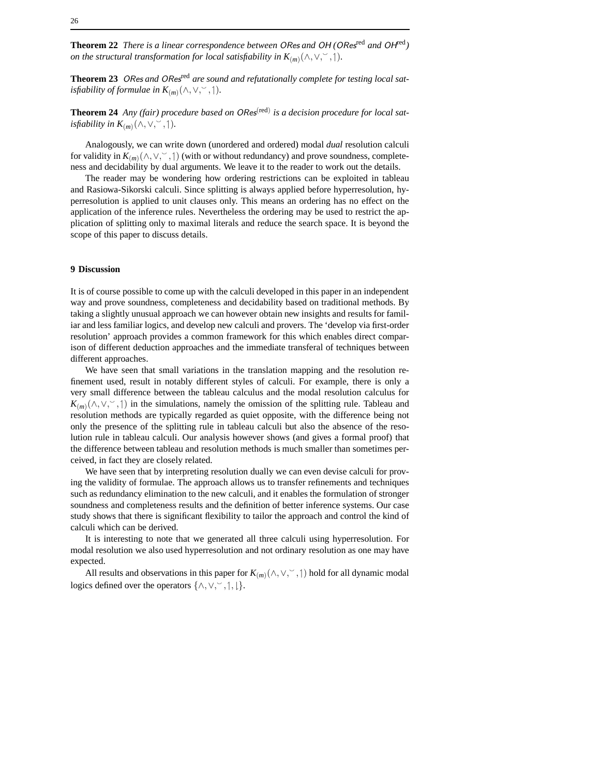**Theorem 22** *There is a linear correspondence between* ORes *and* OH *(*OResred *and* OHred*) on the structural transformation for local satisfiability in*  $K_{(m)}(\wedge,\vee,\breve{\wedge},).$ 

Theorem 23 ORes and ORes<sup>red</sup> are sound and refutationally complete for testing local sat*isfiability of formulae in*  $K_{(m)}(\wedge,\vee,\breve{\phantom{a}},\uparrow).$ 

**Theorem 24** Any (fair) procedure based on ORes<sup>(red)</sup> is a decision procedure for local sat*isfiability in*  $K_{(m)}(\wedge,\vee,\breve{\neg},\uparrow).$ 

Analogously, we can write down (unordered and ordered) modal *dual* resolution calculi for validity in  $K_{(m)}(\wedge,\vee,\vee,1)$  (with or without redundancy) and prove soundness, completeness and decidability by dual arguments. We leave it to the reader to work out the details.

The reader may be wondering how ordering restrictions can be exploited in tableau and Rasiowa-Sikorski calculi. Since splitting is always applied before hyperresolution, hyperresolution is applied to unit clauses only. This means an ordering has no effect on the application of the inference rules. Nevertheless the ordering may be used to restrict the application of splitting only to maximal literals and reduce the search space. It is beyond the scope of this paper to discuss details.

# **9 Discussion**

It is of course possible to come up with the calculi developed in this paper in an independent way and prove soundness, completeness and decidability based on traditional methods. By taking a slightly unusual approach we can however obtain new insights and results for familiar and less familiar logics, and develop new calculi and provers. The 'develop via first-order resolution' approach provides a common framework for this which enables direct comparison of different deduction approaches and the immediate transferal of techniques between different approaches.

We have seen that small variations in the translation mapping and the resolution refinement used, result in notably different styles of calculi. For example, there is only a very small difference between the tableau calculus and the modal resolution calculus for  $K_{(m)}(\wedge,\vee,\breve{\wedge},\uparrow)$  in the simulations, namely the omission of the splitting rule. Tableau and resolution methods are typically regarded as quiet opposite, with the difference being not only the presence of the splitting rule in tableau calculi but also the absence of the resolution rule in tableau calculi. Our analysis however shows (and gives a formal proof) that the difference between tableau and resolution methods is much smaller than sometimes perceived, in fact they are closely related.

We have seen that by interpreting resolution dually we can even devise calculi for proving the validity of formulae. The approach allows us to transfer refinements and techniques such as redundancy elimination to the new calculi, and it enables the formulation of stronger soundness and completeness results and the definition of better inference systems. Our case study shows that there is significant flexibility to tailor the approach and control the kind of calculi which can be derived.

It is interesting to note that we generated all three calculi using hyperresolution. For modal resolution we also used hyperresolution and not ordinary resolution as one may have expected.

All results and observations in this paper for  $K_{(m)}(\wedge,\vee,\check{\phantom{\cdot}},\uparrow)$  hold for all dynamic modal logics defined over the operators  $\{\wedge, \vee, \check{\ }$ ,  $\}, \}$ .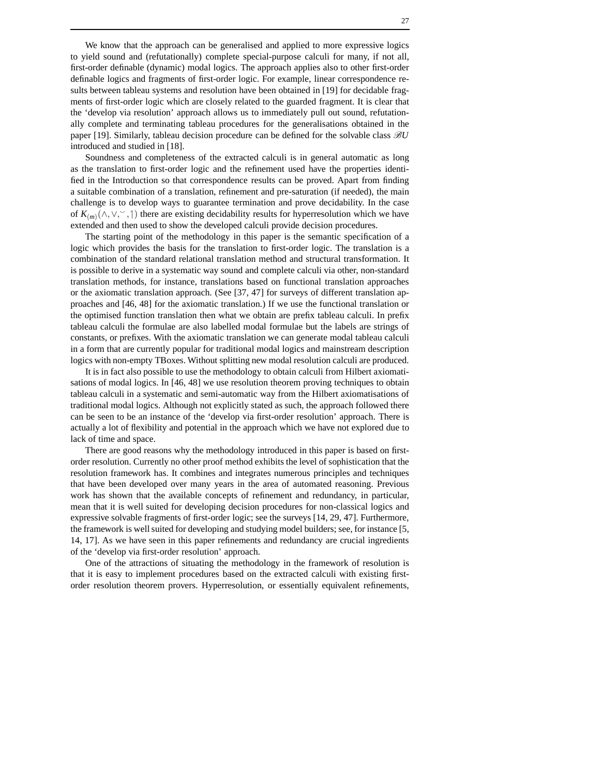We know that the approach can be generalised and applied to more expressive logics to yield sound and (refutationally) complete special-purpose calculi for many, if not all, first-order definable (dynamic) modal logics. The approach applies also to other first-order definable logics and fragments of first-order logic. For example, linear correspondence results between tableau systems and resolution have been obtained in [19] for decidable fragments of first-order logic which are closely related to the guarded fragment. It is clear that the 'develop via resolution' approach allows us to immediately pull out sound, refutationally complete and terminating tableau procedures for the generalisations obtained in the paper [19]. Similarly, tableau decision procedure can be defined for the solvable class  $\mathscr{B}U$ introduced and studied in [18].

Soundness and completeness of the extracted calculi is in general automatic as long as the translation to first-order logic and the refinement used have the properties identified in the Introduction so that correspondence results can be proved. Apart from finding a suitable combination of a translation, refinement and pre-saturation (if needed), the main challenge is to develop ways to guarantee termination and prove decidability. In the case of  $K_{(m)}(\wedge,\vee,\vee,1)$  there are existing decidability results for hyperresolution which we have extended and then used to show the developed calculi provide decision procedures.

The starting point of the methodology in this paper is the semantic specification of a logic which provides the basis for the translation to first-order logic. The translation is a combination of the standard relational translation method and structural transformation. It is possible to derive in a systematic way sound and complete calculi via other, non-standard translation methods, for instance, translations based on functional translation approaches or the axiomatic translation approach. (See [37, 47] for surveys of different translation approaches and [46, 48] for the axiomatic translation.) If we use the functional translation or the optimised function translation then what we obtain are prefix tableau calculi. In prefix tableau calculi the formulae are also labelled modal formulae but the labels are strings of constants, or prefixes. With the axiomatic translation we can generate modal tableau calculi in a form that are currently popular for traditional modal logics and mainstream description logics with non-empty TBoxes. Without splitting new modal resolution calculi are produced.

It is in fact also possible to use the methodology to obtain calculi from Hilbert axiomatisations of modal logics. In [46, 48] we use resolution theorem proving techniques to obtain tableau calculi in a systematic and semi-automatic way from the Hilbert axiomatisations of traditional modal logics. Although not explicitly stated as such, the approach followed there can be seen to be an instance of the 'develop via first-order resolution' approach. There is actually a lot of flexibility and potential in the approach which we have not explored due to lack of time and space.

There are good reasons why the methodology introduced in this paper is based on firstorder resolution. Currently no other proof method exhibits the level of sophistication that the resolution framework has. It combines and integrates numerous principles and techniques that have been developed over many years in the area of automated reasoning. Previous work has shown that the available concepts of refinement and redundancy, in particular, mean that it is well suited for developing decision procedures for non-classical logics and expressive solvable fragments of first-order logic; see the surveys [14, 29, 47]. Furthermore, the framework is well suited for developing and studying model builders; see, for instance [5, 14, 17]. As we have seen in this paper refinements and redundancy are crucial ingredients of the 'develop via first-order resolution' approach.

One of the attractions of situating the methodology in the framework of resolution is that it is easy to implement procedures based on the extracted calculi with existing firstorder resolution theorem provers. Hyperresolution, or essentially equivalent refinements,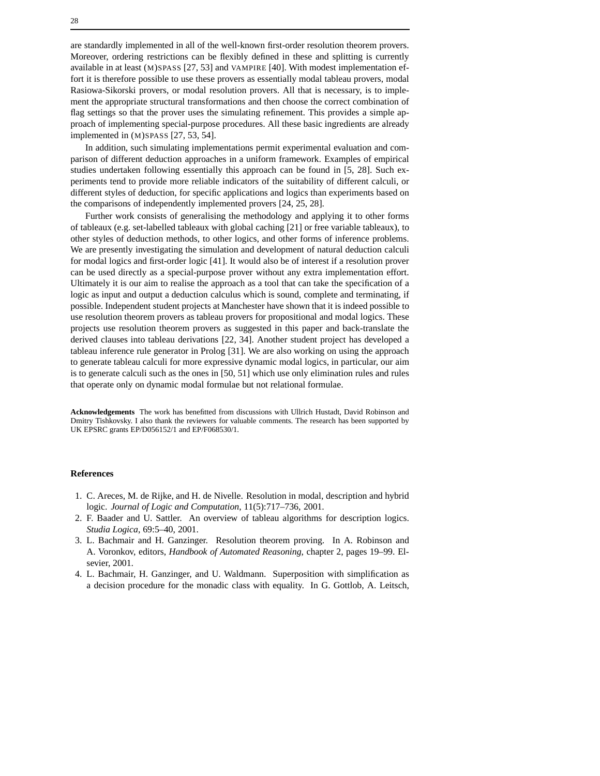are standardly implemented in all of the well-known first-order resolution theorem provers. Moreover, ordering restrictions can be flexibly defined in these and splitting is currently available in at least (M)SPASS [27, 53] and VAMPIRE [40]. With modest implementation effort it is therefore possible to use these provers as essentially modal tableau provers, modal Rasiowa-Sikorski provers, or modal resolution provers. All that is necessary, is to implement the appropriate structural transformations and then choose the correct combination of flag settings so that the prover uses the simulating refinement. This provides a simple approach of implementing special-purpose procedures. All these basic ingredients are already implemented in (M)SPASS [27, 53, 54].

In addition, such simulating implementations permit experimental evaluation and comparison of different deduction approaches in a uniform framework. Examples of empirical studies undertaken following essentially this approach can be found in [5, 28]. Such experiments tend to provide more reliable indicators of the suitability of different calculi, or different styles of deduction, for specific applications and logics than experiments based on the comparisons of independently implemented provers [24, 25, 28].

Further work consists of generalising the methodology and applying it to other forms of tableaux (e.g. set-labelled tableaux with global caching [21] or free variable tableaux), to other styles of deduction methods, to other logics, and other forms of inference problems. We are presently investigating the simulation and development of natural deduction calculi for modal logics and first-order logic [41]. It would also be of interest if a resolution prover can be used directly as a special-purpose prover without any extra implementation effort. Ultimately it is our aim to realise the approach as a tool that can take the specification of a logic as input and output a deduction calculus which is sound, complete and terminating, if possible. Independent student projects at Manchester have shown that it is indeed possible to use resolution theorem provers as tableau provers for propositional and modal logics. These projects use resolution theorem provers as suggested in this paper and back-translate the derived clauses into tableau derivations [22, 34]. Another student project has developed a tableau inference rule generator in Prolog [31]. We are also working on using the approach to generate tableau calculi for more expressive dynamic modal logics, in particular, our aim is to generate calculi such as the ones in [50, 51] which use only elimination rules and rules that operate only on dynamic modal formulae but not relational formulae.

**Acknowledgements** The work has benefitted from discussions with Ullrich Hustadt, David Robinson and Dmitry Tishkovsky. I also thank the reviewers for valuable comments. The research has been supported by UK EPSRC grants EP/D056152/1 and EP/F068530/1.

# **References**

- 1. C. Areces, M. de Rijke, and H. de Nivelle. Resolution in modal, description and hybrid logic. *Journal of Logic and Computation*, 11(5):717–736, 2001.
- 2. F. Baader and U. Sattler. An overview of tableau algorithms for description logics. *Studia Logica*, 69:5–40, 2001.
- 3. L. Bachmair and H. Ganzinger. Resolution theorem proving. In A. Robinson and A. Voronkov, editors, *Handbook of Automated Reasoning*, chapter 2, pages 19–99. Elsevier, 2001.
- 4. L. Bachmair, H. Ganzinger, and U. Waldmann. Superposition with simplification as a decision procedure for the monadic class with equality. In G. Gottlob, A. Leitsch,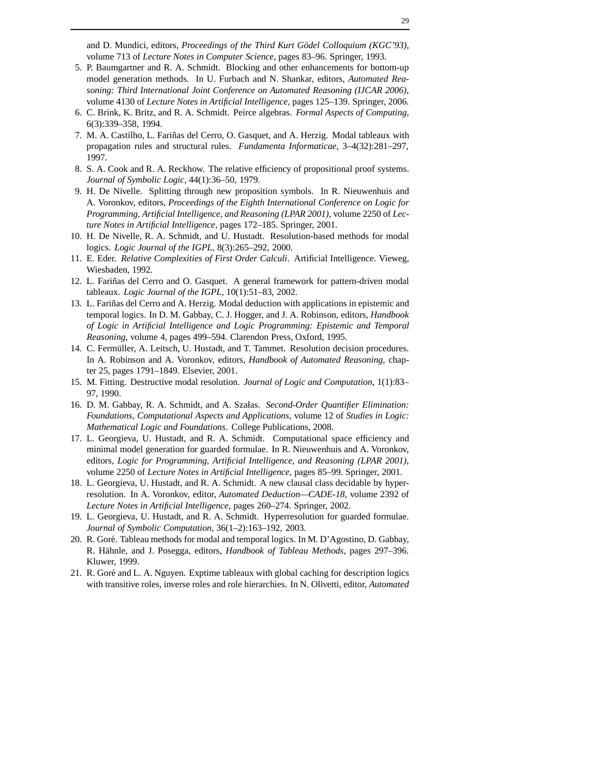and D. Mundici, editors, *Proceedings of the Third Kurt Gödel Colloquium (KGC'93)*, volume 713 of *Lecture Notes in Computer Science*, pages 83–96. Springer, 1993.

- 5. P. Baumgartner and R. A. Schmidt. Blocking and other enhancements for bottom-up model generation methods. In U. Furbach and N. Shankar, editors, *Automated Reasoning: Third International Joint Conference on Automated Reasoning (IJCAR 2006)*, volume 4130 of *Lecture Notes in Artificial Intelligence*, pages 125–139. Springer, 2006.
- 6. C. Brink, K. Britz, and R. A. Schmidt. Peirce algebras. *Formal Aspects of Computing*, 6(3):339–358, 1994.
- 7. M. A. Castilho, L. Fariñas del Cerro, O. Gasquet, and A. Herzig. Modal tableaux with propagation rules and structural rules. *Fundamenta Informaticae*, 3–4(32):281–297, 1997.
- 8. S. A. Cook and R. A. Reckhow. The relative efficiency of propositional proof systems. *Journal of Symbolic Logic*, 44(1):36–50, 1979.
- 9. H. De Nivelle. Splitting through new proposition symbols. In R. Nieuwenhuis and A. Voronkov, editors, *Proceedings of the Eighth International Conference on Logic for Programming, Artificial Intelligence, and Reasoning (LPAR 2001)*, volume 2250 of *Lecture Notes in Artificial Intelligence*, pages 172–185. Springer, 2001.
- 10. H. De Nivelle, R. A. Schmidt, and U. Hustadt. Resolution-based methods for modal logics. *Logic Journal of the IGPL*, 8(3):265–292, 2000.
- 11. E. Eder. *Relative Complexities of First Order Calculi*. Artificial Intelligence. Vieweg, Wiesbaden, 1992.
- 12. L. Fariñas del Cerro and O. Gasquet. A general framework for pattern-driven modal tableaux. *Logic Journal of the IGPL*, 10(1):51–83, 2002.
- 13. L. Fariñas del Cerro and A. Herzig. Modal deduction with applications in epistemic and temporal logics. In D. M. Gabbay, C. J. Hogger, and J. A. Robinson, editors, *Handbook of Logic in Artificial Intelligence and Logic Programming: Epistemic and Temporal Reasoning*, volume 4, pages 499–594. Clarendon Press, Oxford, 1995.
- 14. C. Fermüller, A. Leitsch, U. Hustadt, and T. Tammet. Resolution decision procedures. In A. Robinson and A. Voronkov, editors, *Handbook of Automated Reasoning*, chapter 25, pages 1791–1849. Elsevier, 2001.
- 15. M. Fitting. Destructive modal resolution. *Journal of Logic and Computation*, 1(1):83– 97, 1990.
- 16. D. M. Gabbay, R. A. Schmidt, and A. Szałas. *Second-Order Quantifier Elimination: Foundations, Computational Aspects and Applications*, volume 12 of *Studies in Logic: Mathematical Logic and Foundations*. College Publications, 2008.
- 17. L. Georgieva, U. Hustadt, and R. A. Schmidt. Computational space efficiency and minimal model generation for guarded formulae. In R. Nieuwenhuis and A. Voronkov, editors, *Logic for Programming, Artificial Intelligence, and Reasoning (LPAR 2001)*, volume 2250 of *Lecture Notes in Artificial Intelligence*, pages 85–99. Springer, 2001.
- 18. L. Georgieva, U. Hustadt, and R. A. Schmidt. A new clausal class decidable by hyperresolution. In A. Voronkov, editor, *Automated Deduction—CADE-18*, volume 2392 of *Lecture Notes in Artificial Intelligence*, pages 260–274. Springer, 2002.
- 19. L. Georgieva, U. Hustadt, and R. A. Schmidt. Hyperresolution for guarded formulae. *Journal of Symbolic Computation*, 36(1–2):163–192, 2003.
- 20. R. Goré. Tableau methods for modal and temporal logics. In M. D'Agostino, D. Gabbay, R. H¨ahnle, and J. Posegga, editors, *Handbook of Tableau Methods*, pages 297–396. Kluwer, 1999.
- 21. R. Goré and L. A. Nguyen. Exptime tableaux with global caching for description logics with transitive roles, inverse roles and role hierarchies. In N. Olivetti, editor, *Automated*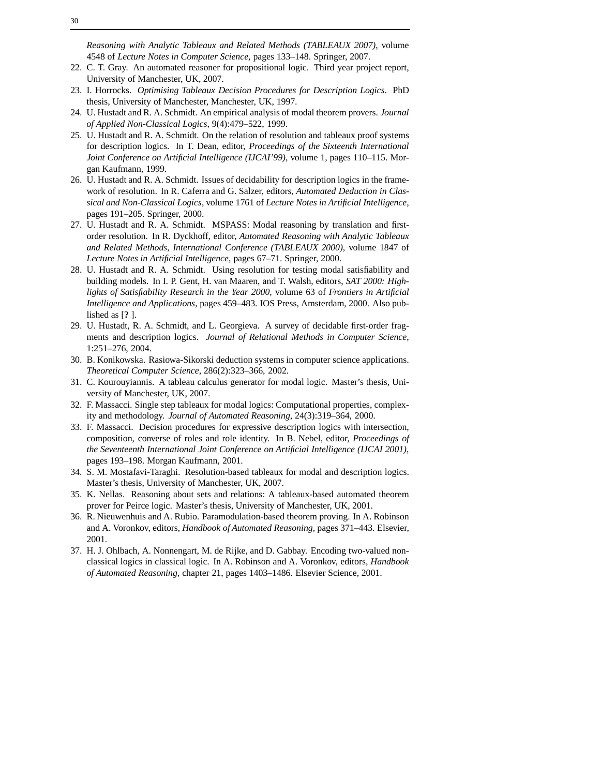*Reasoning with Analytic Tableaux and Related Methods (TABLEAUX 2007)*, volume 4548 of *Lecture Notes in Computer Science*, pages 133–148. Springer, 2007.

- 22. C. T. Gray. An automated reasoner for propositional logic. Third year project report, University of Manchester, UK, 2007.
- 23. I. Horrocks. *Optimising Tableaux Decision Procedures for Description Logics*. PhD thesis, University of Manchester, Manchester, UK, 1997.
- 24. U. Hustadt and R. A. Schmidt. An empirical analysis of modal theorem provers. *Journal of Applied Non-Classical Logics*, 9(4):479–522, 1999.
- 25. U. Hustadt and R. A. Schmidt. On the relation of resolution and tableaux proof systems for description logics. In T. Dean, editor, *Proceedings of the Sixteenth International Joint Conference on Artificial Intelligence (IJCAI'99)*, volume 1, pages 110–115. Morgan Kaufmann, 1999.
- 26. U. Hustadt and R. A. Schmidt. Issues of decidability for description logics in the framework of resolution. In R. Caferra and G. Salzer, editors, *Automated Deduction in Classical and Non-Classical Logics*, volume 1761 of *Lecture Notes in Artificial Intelligence*, pages 191–205. Springer, 2000.
- 27. U. Hustadt and R. A. Schmidt. MSPASS: Modal reasoning by translation and firstorder resolution. In R. Dyckhoff, editor, *Automated Reasoning with Analytic Tableaux and Related Methods, International Conference (TABLEAUX 2000)*, volume 1847 of *Lecture Notes in Artificial Intelligence*, pages 67–71. Springer, 2000.
- 28. U. Hustadt and R. A. Schmidt. Using resolution for testing modal satisfiability and building models. In I. P. Gent, H. van Maaren, and T. Walsh, editors, *SAT 2000: Highlights of Satisfiability Research in the Year 2000*, volume 63 of *Frontiers in Artificial Intelligence and Applications*, pages 459–483. IOS Press, Amsterdam, 2000. Also published as [**?** ].
- 29. U. Hustadt, R. A. Schmidt, and L. Georgieva. A survey of decidable first-order fragments and description logics. *Journal of Relational Methods in Computer Science*, 1:251–276, 2004.
- 30. B. Konikowska. Rasiowa-Sikorski deduction systems in computer science applications. *Theoretical Computer Science*, 286(2):323–366, 2002.
- 31. C. Kourouyiannis. A tableau calculus generator for modal logic. Master's thesis, University of Manchester, UK, 2007.
- 32. F. Massacci. Single step tableaux for modal logics: Computational properties, complexity and methodology. *Journal of Automated Reasoning*, 24(3):319–364, 2000.
- 33. F. Massacci. Decision procedures for expressive description logics with intersection, composition, converse of roles and role identity. In B. Nebel, editor, *Proceedings of the Seventeenth International Joint Conference on Artificial Intelligence (IJCAI 2001)*, pages 193–198. Morgan Kaufmann, 2001.
- 34. S. M. Mostafavi-Taraghi. Resolution-based tableaux for modal and description logics. Master's thesis, University of Manchester, UK, 2007.
- 35. K. Nellas. Reasoning about sets and relations: A tableaux-based automated theorem prover for Peirce logic. Master's thesis, University of Manchester, UK, 2001.
- 36. R. Nieuwenhuis and A. Rubio. Paramodulation-based theorem proving. In A. Robinson and A. Voronkov, editors, *Handbook of Automated Reasoning*, pages 371–443. Elsevier, 2001.
- 37. H. J. Ohlbach, A. Nonnengart, M. de Rijke, and D. Gabbay. Encoding two-valued nonclassical logics in classical logic. In A. Robinson and A. Voronkov, editors, *Handbook of Automated Reasoning*, chapter 21, pages 1403–1486. Elsevier Science, 2001.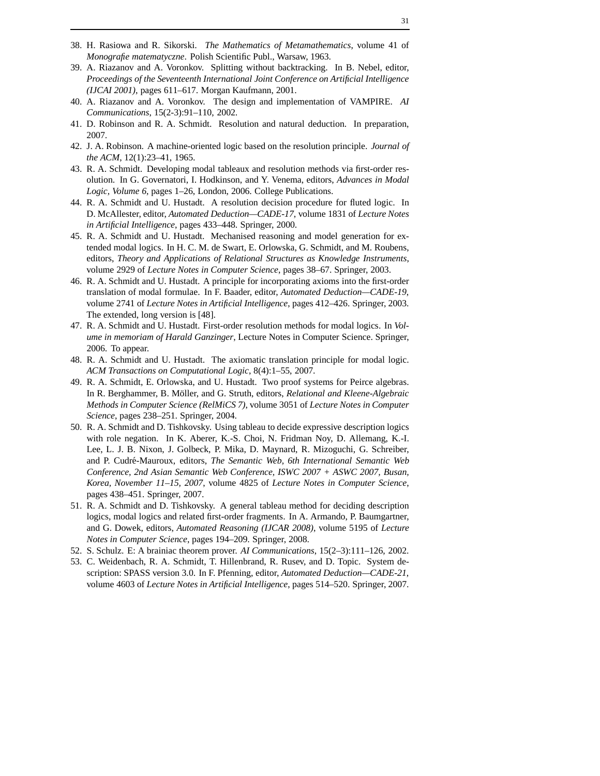- 38. H. Rasiowa and R. Sikorski. *The Mathematics of Metamathematics*, volume 41 of *Monografie matematyczne*. Polish Scientific Publ., Warsaw, 1963.
- 39. A. Riazanov and A. Voronkov. Splitting without backtracking. In B. Nebel, editor, *Proceedings of the Seventeenth International Joint Conference on Artificial Intelligence (IJCAI 2001)*, pages 611–617. Morgan Kaufmann, 2001.
- 40. A. Riazanov and A. Voronkov. The design and implementation of VAMPIRE. *AI Communications*, 15(2-3):91–110, 2002.
- 41. D. Robinson and R. A. Schmidt. Resolution and natural deduction. In preparation, 2007.
- 42. J. A. Robinson. A machine-oriented logic based on the resolution principle. *Journal of the ACM*, 12(1):23–41, 1965.
- 43. R. A. Schmidt. Developing modal tableaux and resolution methods via first-order resolution. In G. Governatori, I. Hodkinson, and Y. Venema, editors, *Advances in Modal Logic, Volume 6*, pages 1–26, London, 2006. College Publications.
- 44. R. A. Schmidt and U. Hustadt. A resolution decision procedure for fluted logic. In D. McAllester, editor, *Automated Deduction—CADE-17*, volume 1831 of *Lecture Notes in Artificial Intelligence*, pages 433–448. Springer, 2000.
- 45. R. A. Schmidt and U. Hustadt. Mechanised reasoning and model generation for extended modal logics. In H. C. M. de Swart, E. Orlowska, G. Schmidt, and M. Roubens, editors, *Theory and Applications of Relational Structures as Knowledge Instruments*, volume 2929 of *Lecture Notes in Computer Science*, pages 38–67. Springer, 2003.
- 46. R. A. Schmidt and U. Hustadt. A principle for incorporating axioms into the first-order translation of modal formulae. In F. Baader, editor, *Automated Deduction—CADE-19*, volume 2741 of *Lecture Notes in Artificial Intelligence*, pages 412–426. Springer, 2003. The extended, long version is [48].
- 47. R. A. Schmidt and U. Hustadt. First-order resolution methods for modal logics. In *Volume in memoriam of Harald Ganzinger*, Lecture Notes in Computer Science. Springer, 2006. To appear.
- 48. R. A. Schmidt and U. Hustadt. The axiomatic translation principle for modal logic. *ACM Transactions on Computational Logic*, 8(4):1–55, 2007.
- 49. R. A. Schmidt, E. Orlowska, and U. Hustadt. Two proof systems for Peirce algebras. In R. Berghammer, B. Möller, and G. Struth, editors, *Relational and Kleene-Algebraic Methods in Computer Science (RelMiCS 7)*, volume 3051 of *Lecture Notes in Computer Science*, pages 238–251. Springer, 2004.
- 50. R. A. Schmidt and D. Tishkovsky. Using tableau to decide expressive description logics with role negation. In K. Aberer, K.-S. Choi, N. Fridman Noy, D. Allemang, K.-I. Lee, L. J. B. Nixon, J. Golbeck, P. Mika, D. Maynard, R. Mizoguchi, G. Schreiber, and P. Cudr´e-Mauroux, editors, *The Semantic Web, 6th International Semantic Web Conference, 2nd Asian Semantic Web Conference, ISWC 2007 + ASWC 2007, Busan, Korea, November 11–15, 2007*, volume 4825 of *Lecture Notes in Computer Science*, pages 438–451. Springer, 2007.
- 51. R. A. Schmidt and D. Tishkovsky. A general tableau method for deciding description logics, modal logics and related first-order fragments. In A. Armando, P. Baumgartner, and G. Dowek, editors, *Automated Reasoning (IJCAR 2008)*, volume 5195 of *Lecture Notes in Computer Science*, pages 194–209. Springer, 2008.
- 52. S. Schulz. E: A brainiac theorem prover. *AI Communications*, 15(2–3):111–126, 2002.
- 53. C. Weidenbach, R. A. Schmidt, T. Hillenbrand, R. Rusev, and D. Topic. System description: SPASS version 3.0. In F. Pfenning, editor, *Automated Deduction—CADE-21*, volume 4603 of *Lecture Notes in Artificial Intelligence*, pages 514–520. Springer, 2007.